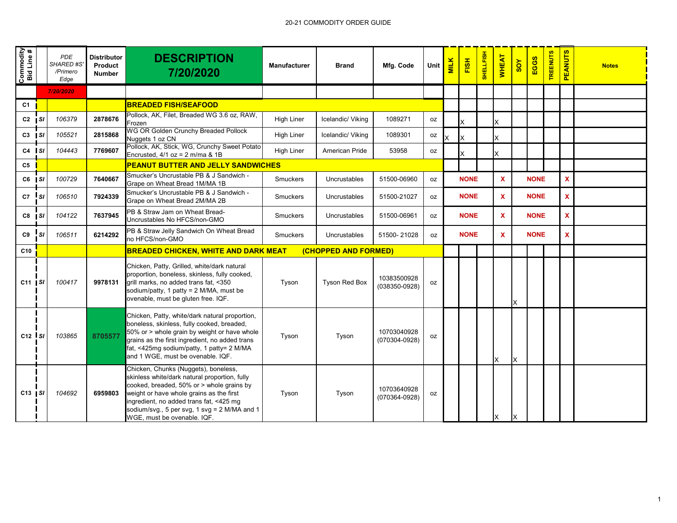| Commodity<br>Bid Line # |           | <b>PDE</b><br><b>SHARED#S</b><br>/Primero<br>Edge | <b>Distributor</b><br>Product<br><b>Number</b> | <b>DESCRIPTION</b><br>7/20/2020                                                                                                                                                                                                                                                                          | <b>Manufacturer</b> | <b>Brand</b>         | Mfg. Code                        | Unit      | <b>MILK</b> | FISH        | <b>SHELLFISH</b> | <b>WHEAT</b> | SOY | EGGS        | <b>TREENUTS</b> | <b>PEANUTS</b> | <b>Notes</b> |
|-------------------------|-----------|---------------------------------------------------|------------------------------------------------|----------------------------------------------------------------------------------------------------------------------------------------------------------------------------------------------------------------------------------------------------------------------------------------------------------|---------------------|----------------------|----------------------------------|-----------|-------------|-------------|------------------|--------------|-----|-------------|-----------------|----------------|--------------|
|                         |           | 7/20/2020                                         |                                                |                                                                                                                                                                                                                                                                                                          |                     |                      |                                  |           |             |             |                  |              |     |             |                 |                |              |
| C <sub>1</sub>          |           |                                                   |                                                | <b>BREADED FISH/SEAFOOD</b>                                                                                                                                                                                                                                                                              |                     |                      |                                  |           |             |             |                  |              |     |             |                 |                |              |
| $C2$ $ SI$              |           | 106379                                            | 2878676                                        | Pollock, AK, Filet, Breaded WG 3.6 oz, RAW,<br>Frozen                                                                                                                                                                                                                                                    | <b>High Liner</b>   | Icelandic/ Viking    | 1089271                          | oz        |             | X.          |                  | X            |     |             |                 |                |              |
| $C3$ $ SI$              |           | 105521                                            | 2815868                                        | <b>WG OR Golden Crunchy Breaded Pollock</b><br>Nuggets 1 oz CN                                                                                                                                                                                                                                           | <b>High Liner</b>   | Icelandic/ Viking    | 1089301                          | 0Z        |             | X           |                  | X            |     |             |                 |                |              |
| $C4$ $\vert$ SI         |           | 104443                                            | 7769607                                        | Pollock, AK, Stick, WG, Crunchy Sweet Potato<br>Encrusted, $4/1$ oz = 2 m/ma & 1B                                                                                                                                                                                                                        | <b>High Liner</b>   | American Pride       | 53958                            | 0Z        |             |             |                  | x            |     |             |                 |                |              |
| C5                      |           |                                                   |                                                | PEANUT BUTTER AND JELLY SANDWICHES                                                                                                                                                                                                                                                                       |                     |                      |                                  |           |             |             |                  |              |     |             |                 |                |              |
| $C6$   SI               |           | 100729                                            | 7640667                                        | Smucker's Uncrustable PB & J Sandwich -<br>Grape on Wheat Bread 1M/MA 1B                                                                                                                                                                                                                                 | <b>Smuckers</b>     | Uncrustables         | 51500-06960                      | oz        |             | <b>NONE</b> |                  | $\mathbf x$  |     | <b>NONE</b> |                 | $\mathbf{x}$   |              |
| C7                      | <b>SI</b> | 106510                                            | 7924339                                        | Smucker's Uncrustable PB & J Sandwich -<br>Grape on Wheat Bread 2M/MA 2B                                                                                                                                                                                                                                 | <b>Smuckers</b>     | Uncrustables         | 51500-21027                      | 0Z        |             | <b>NONE</b> |                  | X            |     | <b>NONE</b> |                 | $\mathbf x$    |              |
| $C8$   SI               |           | 104122                                            | 7637945                                        | PB & Straw Jam on Wheat Bread-<br>Uncrustables No HFCS/non-GMO                                                                                                                                                                                                                                           | <b>Smuckers</b>     | Uncrustables         | 51500-06961                      | 0Z        |             | <b>NONE</b> |                  | X            |     | <b>NONE</b> |                 | $\mathbf{x}$   |              |
| C9                      | SI        | 106511                                            | 6214292                                        | PB & Straw Jelly Sandwich On Wheat Bread<br>no HFCS/non-GMO                                                                                                                                                                                                                                              | <b>Smuckers</b>     | Uncrustables         | 51500-21028                      | oz        |             | <b>NONE</b> |                  | X            |     | <b>NONE</b> |                 | $\mathbf{x}$   |              |
| C10                     |           |                                                   |                                                | <b>BREADED CHICKEN, WHITE AND DARK MEAT</b>                                                                                                                                                                                                                                                              |                     | (CHOPPED AND FORMED) |                                  |           |             |             |                  |              |     |             |                 |                |              |
| $C11$   SI              |           | 100417                                            | 9978131                                        | Chicken, Patty, Grilled, white/dark natural<br>proportion, boneless, skinless, fully cooked,<br>grill marks, no added trans fat, <350<br>sodium/patty, 1 patty = 2 M/MA, must be<br>ovenable, must be gluten free. IQF.                                                                                  | Tyson               | <b>Tyson Red Box</b> | 10383500928<br>$(038350 - 0928)$ | <b>OZ</b> |             |             |                  |              | X   |             |                 |                |              |
| $C12$ $S1$              |           | 103865                                            | 8705577                                        | Chicken, Patty, white/dark natural proportion,<br>boneless, skinless, fully cooked, breaded,<br>50% or > whole grain by weight or have whole<br>grains as the first ingredient, no added trans<br>fat, <425mg sodium/patty, 1 patty= 2 M/MA<br>and 1 WGE, must be ovenable. IQF.                         | Tyson               | Tyson                | 10703040928<br>$(070304 - 0928)$ | 0Z        |             |             |                  | X            | X   |             |                 |                |              |
| $C13$ $S1$              |           | 104692                                            | 6959803                                        | Chicken, Chunks (Nuggets), boneless,<br>skinless white/dark natural proportion, fully<br>cooked, breaded, 50% or > whole grains by<br>weight or have whole grains as the first<br>ingredient, no added trans fat, <425 mg<br>sodium/svg., 5 per svg, 1 svg = 2 M/MA and 1<br>WGE, must be ovenable. IQF. | Tyson               | Tyson                | 10703640928<br>$(070364 - 0928)$ | oz        |             |             |                  | X            | X   |             |                 |                |              |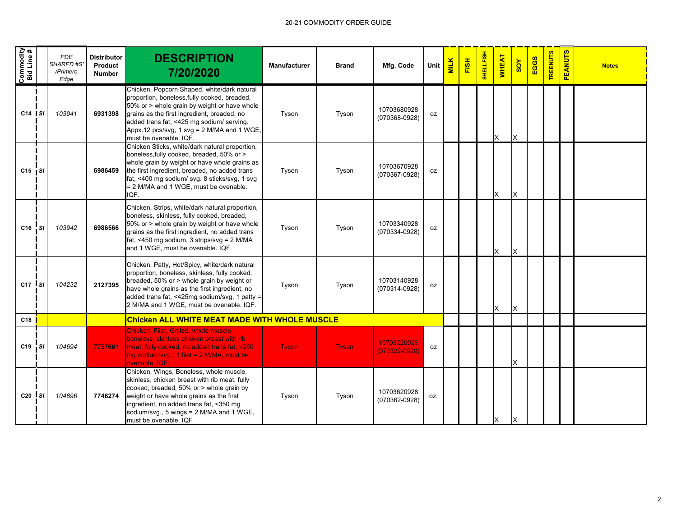| Commodity<br>Bid Line # |              | <b>PDE</b><br><b>SHARED #S</b><br>/Primero<br>Edge | <b>Distributor</b><br>Product<br><b>Number</b> | <b>DESCRIPTION</b><br>7/20/2020                                                                                                                                                                                                                                                                                 | <b>Manufacturer</b> | <b>Brand</b> | Mfg. Code                        | Unit | <b>MILK</b> | FISH | SHELLFISH | <b>WHEAT</b> | SOY | EGGS | <b>TREENUTS</b> | <b>PEANUTS</b> | <b>Notes</b> |
|-------------------------|--------------|----------------------------------------------------|------------------------------------------------|-----------------------------------------------------------------------------------------------------------------------------------------------------------------------------------------------------------------------------------------------------------------------------------------------------------------|---------------------|--------------|----------------------------------|------|-------------|------|-----------|--------------|-----|------|-----------------|----------------|--------------|
| $C14$ SI                |              | 103941                                             | 6931398                                        | Chicken, Popcorn Shaped, white/dark natural<br>proportion, boneless, fully cooked, breaded,<br>50% or > whole grain by weight or have whole<br>grains as the first ingredient, breaded, no<br>added trans fat, <425 mg sodium/ serving.<br>Appx.12 pcs/svg, 1 svg = 2 M/MA and 1 WGE,<br>must be ovenable. IQF. | Tyson               | Tyson        | 10703680928<br>$(070368 - 0928)$ | oz   |             |      |           | X            | X   |      |                 |                |              |
| $C15$ $S1$              |              |                                                    | 6986459                                        | Chicken Sticks, white/dark natural proportion,<br>boneless, fully cooked, breaded, 50% or ><br>whole grain by weight or have whole grains as<br>the first ingredient, breaded, no added trans<br>fat, <400 mg sodium/ svg. 8 sticks/svg, 1 svg<br>= 2 M/MA and 1 WGE, must be ovenable.<br>IQF.                 | Tyson               | Tyson        | 10703670928<br>$(070367 - 0928)$ | oz   |             |      |           | X            | X   |      |                 |                |              |
| $C16$ SI                |              | 103942                                             | 6986566                                        | Chicken, Strips, white/dark natural proportion,<br>boneless, skinless, fully cooked, breaded,<br>50% or > whole grain by weight or have whole<br>grains as the first ingredient, no added trans<br>fat, <450 mg sodium, 3 strips/svg = 2 M/MA<br>and 1 WGE, must be ovenable. IQF.                              | Tyson               | Tyson        | 10703340928<br>(070334-0928)     | oz   |             |      |           | X            | X   |      |                 |                |              |
| $C17$ si                |              | 104232                                             | 2127395                                        | Chicken, Patty, Hot/Spicy, white/dark natural<br>proportion, boneless, skinless, fully cooked,<br>breaded, 50% or > whole grain by weight or<br>have whole grains as the first ingredient, no<br>added trans fat, <425mg sodium/svg, 1 patty =<br>2 M/MA and 1 WGE, must be ovenable. IQF.                      | Tyson               | Tyson        | 10703140928<br>(070314-0928)     | oz   |             |      |           | X            | X   |      |                 |                |              |
| C18                     |              |                                                    |                                                | <b>Chicken ALL WHITE MEAT MADE WITH WHOLE MUSCLE</b>                                                                                                                                                                                                                                                            |                     |              |                                  |      |             |      |           |              |     |      |                 |                |              |
| C19                     | $\mathsf{S}$ | 104694                                             | 7737661                                        | Chicken, Filet, Grilled, whole muscle.<br>boneless, skinless chicken breast with rib<br>meat, fully cooked, no added trans fat, <250<br>mg sodium/svg., 1 filet = 2 M/MA, must be<br>ovenable, IQF.                                                                                                             | <b>Tyson</b>        | <b>Tyson</b> | 10703220928<br>$(070322 - 0928)$ | oz   |             |      |           |              | X   |      |                 |                |              |
| $C20$ $S1$              |              | 104896                                             | 7746274                                        | Chicken, Wings, Boneless, whole muscle,<br>skinless, chicken breast with rib meat, fully<br>cooked, breaded, 50% or > whole grain by<br>weight or have whole grains as the first<br>ingredient, no added trans fat, <350 mg<br>sodium/svg., 5 wings = 2 M/MA and 1 WGE,<br>must be ovenable. IQF                | Tyson               | Tyson        | 10703620928<br>$(070362 - 0928)$ | OZ.  |             |      |           | X            | ΙX  |      |                 |                |              |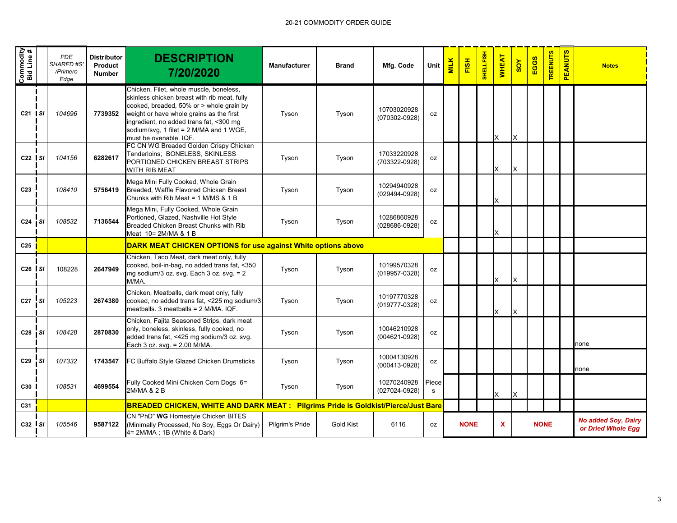| Commodity<br>Bid Line #           |      | <b>PDE</b><br><b>SHARED #S</b><br>/Primero<br>Edge | <b>Distributor</b><br>Product<br><b>Number</b> | <b>DESCRIPTION</b><br>7/20/2020                                                                                                                                                                                                                                                                 | Manufacturer    | <b>Brand</b>     | Mfg. Code                        | Unit       | <b>MILK</b> | FISH        | SHELLFISH | <b>WHEAT</b> | $\frac{8}{2}$ | EGGS        | <b>REENUTS</b> | <b>PEANUTS</b> | <b>Notes</b>                                     |
|-----------------------------------|------|----------------------------------------------------|------------------------------------------------|-------------------------------------------------------------------------------------------------------------------------------------------------------------------------------------------------------------------------------------------------------------------------------------------------|-----------------|------------------|----------------------------------|------------|-------------|-------------|-----------|--------------|---------------|-------------|----------------|----------------|--------------------------------------------------|
| $C21$ SI                          |      | 104696                                             | 7739352                                        | Chicken, Filet, whole muscle, boneless,<br>skinless chicken breast with rib meat, fully<br>cooked, breaded, 50% or > whole grain by<br>weight or have whole grains as the first<br>ingredient, no added trans fat, <300 mg<br>sodium/svg, 1 filet = 2 M/MA and 1 WGE,<br>must be ovenable. IQF. | Tyson           | Tyson            | 10703020928<br>(070302-0928)     | oz         |             |             |           | X            | X             |             |                |                |                                                  |
| $C22$ SI                          |      | 104156                                             | 6282617                                        | FC CN WG Breaded Golden Crispy Chicken<br>Tenderloins; BONELESS, SKINLESS<br>PORTIONED CHICKEN BREAST STRIPS<br>WITH RIB MEAT                                                                                                                                                                   | Tyson           | Tyson            | 17033220928<br>(703322-0928)     | 0Z         |             |             |           | X            | X             |             |                |                |                                                  |
| C <sub>23</sub>                   |      | 108410                                             | 5756419                                        | Mega Mini Fully Cooked, Whole Grain<br>Breaded, Waffle Flavored Chicken Breast<br>Chunks with Rib Meat = $1$ M/MS & $1$ B                                                                                                                                                                       | Tyson           | Tyson            | 10294940928<br>(029494-0928)     | oz         |             |             |           | X            |               |             |                |                |                                                  |
| $C24$ SI                          |      | 108532                                             | 7136544                                        | Mega Mini, Fully Cooked, Whole Grain<br>Portioned, Glazed, Nashville Hot Style<br>Breaded Chicken Breast Chunks with Rib<br>Meat 10= 2M/MA & 1 B                                                                                                                                                | Tyson           | Tyson            | 10286860928<br>(028686-0928)     | oz         |             |             |           | X            |               |             |                |                |                                                  |
| C25                               |      |                                                    |                                                | <b>DARK MEAT CHICKEN OPTIONS for use against White options above</b>                                                                                                                                                                                                                            |                 |                  |                                  |            |             |             |           |              |               |             |                |                |                                                  |
| $C26$ $\overline{\phantom{1}}$ SI |      | 108228                                             | 2647949                                        | Chicken, Taco Meat, dark meat only, fully<br>cooked, boil-in-bag, no added trans fat, <350<br>mg sodium/3 oz. svg. Each 3 oz. svg. = 2<br>M/MA.                                                                                                                                                 | Tyson           | Tyson            | 10199570328<br>$(019957 - 0328)$ | 0Z         |             |             |           | X            | X             |             |                |                |                                                  |
| C <sub>27</sub>                   | ' sı | 105223                                             | 2674380                                        | Chicken, Meatballs, dark meat only, fully<br>cooked, no added trans fat, <225 mg sodium/3<br>meatballs. 3 meatballs = 2 M/MA. IQF.                                                                                                                                                              | Tyson           | Tyson            | 10197770328<br>(019777-0328)     | 0Z         |             |             |           | X            | X             |             |                |                |                                                  |
| $C28$ $S1$                        |      | 108428                                             | 2870830                                        | Chicken, Fajita Seasoned Strips, dark meat<br>only, boneless, skinless, fully cooked, no<br>added trans fat, <425 mg sodium/3 oz. svg.<br>Each 3 oz. svg. = 2.00 M/MA.                                                                                                                          | Tyson           | Tyson            | 10046210928<br>$(004621 - 0928)$ | 0Z         |             |             |           |              |               |             |                |                | none                                             |
| $C29$ $S1$                        |      | 107332                                             | 1743547                                        | FC Buffalo Style Glazed Chicken Drumsticks                                                                                                                                                                                                                                                      | Tyson           | Tyson            | 10004130928<br>$(000413 - 0928)$ | 0Z         |             |             |           |              |               |             |                |                | none                                             |
| C30                               |      | 108531                                             | 4699554                                        | Fully Cooked Mini Chicken Corn Dogs 6=<br>2M/MA & 2 B                                                                                                                                                                                                                                           | Tyson           | Tyson            | 10270240928<br>$(027024 - 0928)$ | Piece<br>s |             |             |           | X            | X             |             |                |                |                                                  |
| C31                               |      |                                                    |                                                | <b>BREADED CHICKEN, WHITE AND DARK MEAT : Pilgrims Pride is Goldkist/Pierce/Just Bare</b>                                                                                                                                                                                                       |                 |                  |                                  |            |             |             |           |              |               |             |                |                |                                                  |
| $C32$ SI                          |      | 105546                                             | 9587122                                        | CN "PhD" WG Homestyle Chicken BITES<br>(Minimally Processed, No Soy, Eggs Or Dairy)<br>4= 2M/MA ; 1B (White & Dark)                                                                                                                                                                             | Pilgrim's Pride | <b>Gold Kist</b> | 6116                             | oz         |             | <b>NONE</b> |           | X            |               | <b>NONE</b> |                |                | <b>No added Soy, Dairy</b><br>or Dried Whole Egg |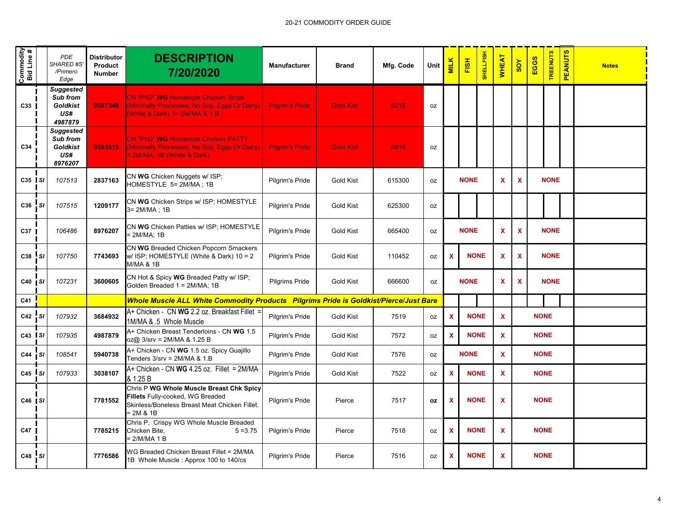| Commodity<br>Bid Line # |           | <b>PDE</b><br>SHARED #S'<br>/Primero<br>Edge               | <b>Distributor</b><br>Product<br><b>Number</b> | <b>DESCRIPTION</b><br>7/20/2020                                                                                                            | <b>Manufacturer</b>    | <b>Brand</b>     | Mfg. Code | <b>Unit</b> | <b>MILK</b>               | FISH        | <b>SHELLFISH</b> | <b>WHEAT</b> | $\frac{8}{10}$             | EGGS        | <b>TREENUTS</b> | <b>PEANUTS</b> | <b>Notes</b> |
|-------------------------|-----------|------------------------------------------------------------|------------------------------------------------|--------------------------------------------------------------------------------------------------------------------------------------------|------------------------|------------------|-----------|-------------|---------------------------|-------------|------------------|--------------|----------------------------|-------------|-----------------|----------------|--------------|
| C33                     |           | Suggested<br>Sub from<br><b>Goldkist</b><br>US#<br>4987879 | 9587346                                        | <b>CN "PhD" WG Homestyle Chicken Strips</b><br>(Minimally Processed, No Soy, Eggs Or Dairy)<br>(White & Dark) 3= 2M/MA & 1 B               | <b>Pilgrim's Pride</b> | <b>Gold Kist</b> | 6216      | <b>OZ</b>   |                           |             |                  |              |                            |             |                 |                |              |
| C34                     |           | Suggested<br>Sub from<br><b>Goldkist</b><br>US#<br>8976207 | 9583519                                        | CN "PhD" WG Homestyle Chicken PATTY<br>(Minimally Processed, No Soy, Eggs Or Dairy)<br>- 2M/MA; 1B (White & Dark)                          | <b>Pilgrim's Pride</b> | <b>Gold Kist</b> | 6616      | 0Z          |                           |             |                  |              |                            |             |                 |                |              |
| $C35$ $S1$              |           | 107513                                                     | 2837163                                        | CN WG Chicken Nuggets w/ ISP;<br>HOMESTYLE 5= 2M/MA; 1B                                                                                    | Pilgrim's Pride        | <b>Gold Kist</b> | 615300    | 0Z          |                           | <b>NONE</b> |                  | $\mathbf x$  | X                          |             | <b>NONE</b>     |                |              |
| C36                     | <b>SI</b> | 107515                                                     | 1209177                                        | CN WG Chicken Strips w/ ISP; HOMESTYLE<br>3= 2M/MA; 1B                                                                                     | Pilgrim's Pride        | Gold Kist        | 625300    | 0Z          |                           |             |                  |              |                            |             |                 |                |              |
| C37                     |           | 106486                                                     | 8976207                                        | CN WG Chicken Patties w/ ISP; HOMESTYLE<br>= 2M/MA; 1B                                                                                     | Pilgrim's Pride        | <b>Gold Kist</b> | 665400    | oz          |                           | <b>NONE</b> |                  | X            | X                          |             | <b>NONE</b>     |                |              |
| C38                     | <b>SI</b> | 107750                                                     | 7743693                                        | CN WG Breaded Chicken Popcorn Smackers<br>w/ ISP; HOMESTYLE (White & Dark) 10 = 2<br><b>M/MA &amp; 1B</b>                                  | Pilgrim's Pride        | Gold Kist        | 110452    | oz          | X                         |             | <b>NONE</b>      | X            | <b>NONE</b><br>$\mathbf x$ |             |                 |                |              |
| $C40$ $S1$              |           | 107231                                                     | 3600605                                        | CN Hot & Spicy WG Breaded Patty w/ ISP;<br>Golden Breaded 1 = 2M/MA; 1B                                                                    | Pilgrims Pride         | <b>Gold Kist</b> | 666600    | <b>OZ</b>   |                           | <b>NONE</b> |                  | $\mathbf x$  | $\mathbf x$                |             | <b>NONE</b>     |                |              |
| C41                     |           |                                                            |                                                | Whole Muscle ALL White Commodity Products Pilgrims Pride is Goldkist/Pierce/Just Bare                                                      |                        |                  |           |             |                           |             |                  |              |                            |             |                 |                |              |
| C42                     | <b>SI</b> | 107932                                                     | 3684932                                        | A+ Chicken - CN WG 2.2 oz. Breakfast Fillet<br>1M/MA & .5 Whole Muscle                                                                     | Pilgrim's Pride        | <b>Gold Kist</b> | 7519      | oz          | X                         |             | <b>NONE</b>      | X            |                            | <b>NONE</b> |                 |                |              |
| $C43$ SI                |           | 107935                                                     | 4987879                                        | A+ Chicken Breast Tenderloins - CN WG 1.5<br>oz@ 3/srv = 2M/MA & 1.25 B                                                                    | Pilgrim's Pride        | Gold Kist        | 7572      | 0Z          | $\boldsymbol{\mathsf{x}}$ |             | <b>NONE</b>      | $\mathbf{x}$ |                            | <b>NONE</b> |                 |                |              |
| C44                     | i sı      | 108541                                                     | 5940738                                        | A+ Chicken - CN WG 1.5 oz. Spicy Guajillo<br>Tenders 3/srv = 2M/MA & 1.B                                                                   | Pilgrim's Pride        | Gold Kist        | 7576      | 0Z          |                           | <b>NONE</b> |                  | $\mathbf{x}$ |                            | <b>NONE</b> |                 |                |              |
| C45                     | l sı      | 107933                                                     | 3038107                                        | A+ Chicken - CN WG 4.25 oz. Fillet = 2M/MA<br>& 1.25 B                                                                                     | Pilgrim's Pride        | Gold Kist        | 7522      | 0Z          | X                         |             | <b>NONE</b>      | $\mathbf{x}$ |                            | <b>NONE</b> |                 |                |              |
| C46   SI                |           |                                                            | 7781552                                        | Chris P WG Whole Muscle Breast Chk Spicy<br>Fillets Fully-cooked, WG Breaded<br>Skinless/Boneless Breast Meat Chicken Fillet.<br>= 2M & 1B | Pilgrim's Pride        | Pierce           | 7517      | 0Z          | X                         | <b>NONE</b> |                  | X            |                            | <b>NONE</b> |                 |                |              |
| C47                     |           |                                                            | 7785215                                        | Chris P, Crispy WG Whole Muscle Breaded<br>Chicken Bite,<br>$5 = 3.75$<br>= 2/M/MA 1 B                                                     | Pilgrim's Pride        | Pierce           | 7518      | oz          | X                         |             | <b>NONE</b>      | $\mathbf{x}$ |                            | <b>NONE</b> |                 |                |              |
| C48 SI                  |           |                                                            | 7776586                                        | WG Breaded Chicken Breast Fillet = 2M/MA<br>1B Whole Muscle: Approx 100 to 140/cs                                                          | Pilgrim's Pride        | Pierce           | 7516      | oz          | X                         |             | <b>NONE</b>      | X            |                            | <b>NONE</b> |                 |                |              |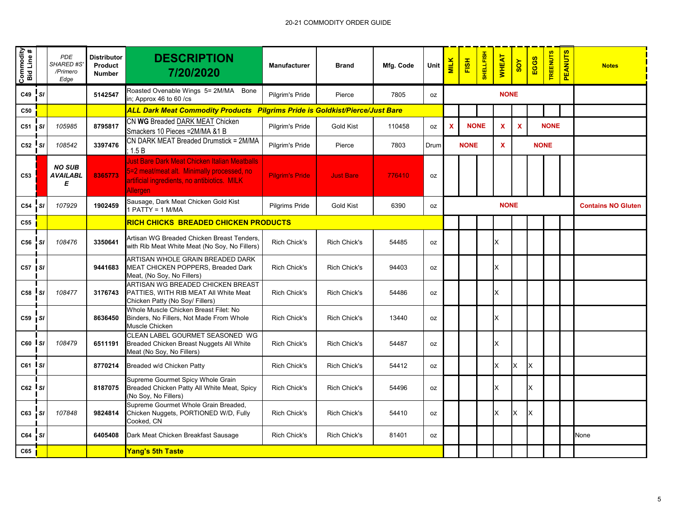| Commodity<br>Bid Line # |              | PDE<br><b>SHARED #S</b><br>/Primero<br>Edge | <b>Distributor</b><br>Product<br><b>Number</b> | <b>DESCRIPTION</b><br>7/20/2020                                                                                                                                | <b>Manufacturer</b>    | <b>Brand</b>        | Mfg. Code | Unit      | <b>MILK</b>               | FISH        | <b>SHELLFISH</b> | <b>WHEAT</b>              | $\frac{8}{10}$            | EGGS        | <b>TREENUTS</b> | <b>PEANUTS</b> | <b>Notes</b>              |
|-------------------------|--------------|---------------------------------------------|------------------------------------------------|----------------------------------------------------------------------------------------------------------------------------------------------------------------|------------------------|---------------------|-----------|-----------|---------------------------|-------------|------------------|---------------------------|---------------------------|-------------|-----------------|----------------|---------------------------|
| C49 SI                  |              |                                             | 5142547                                        | Roasted Ovenable Wings 5= 2M/MA<br>Bone<br>in; Approx 46 to 60 /cs                                                                                             | Pilgrim's Pride        | Pierce              | 7805      | 0Z        |                           |             |                  | <b>NONE</b>               |                           |             |                 |                |                           |
| C50                     |              |                                             |                                                | <b>ALL Dark Meat Commodity Products Pilgrims Pride is Goldkist/Pierce/Just Bare</b>                                                                            |                        |                     |           |           |                           |             |                  |                           |                           |             |                 |                |                           |
| $C51$ $S1$              |              | 105985                                      | 8795817                                        | CN WG Breaded DARK MEAT Chicken<br>Smackers 10 Pieces = 2M/MA & 1 B                                                                                            | Pilgrim's Pride        | <b>Gold Kist</b>    | 110458    | <b>OZ</b> | $\boldsymbol{\mathsf{x}}$ | <b>NONE</b> |                  | $\boldsymbol{\mathsf{x}}$ | $\boldsymbol{\mathsf{x}}$ |             | <b>NONE</b>     |                |                           |
| $C52$ $SI$              |              | 108542                                      | 3397476                                        | CN DARK MEAT Breaded Drumstick = 2M/MA<br>1.5B                                                                                                                 | Pilgrim's Pride        | Pierce              | 7803      | Drum      |                           | <b>NONE</b> |                  | $\mathbf x$               |                           | <b>NONE</b> |                 |                |                           |
| C53                     |              | <b>NO SUB</b><br>AVAILABL<br>Е              | 8365773                                        | Just Bare Dark Meat Chicken Italian Meatballs<br>5=2 meat/meat alt. Minimally processed, no<br>artificial ingredients, no antibiotics. MILK<br><b>Allergen</b> | <b>Pilgrim's Pride</b> | <b>Just Bare</b>    | 776410    | 0Z        |                           |             |                  |                           |                           |             |                 |                |                           |
| C54                     | <b>SI</b>    | 107929                                      | 1902459                                        | Sausage, Dark Meat Chicken Gold Kist<br>$PATH = 1 M/MA$                                                                                                        | Pilgrims Pride         | <b>Gold Kist</b>    | 6390      | oz        |                           |             |                  | <b>NONE</b>               |                           |             |                 |                | <b>Contains NO Gluten</b> |
| C55                     |              |                                             |                                                | RICH CHICKS BREADED CHICKEN PRODUCTS                                                                                                                           |                        |                     |           |           |                           |             |                  |                           |                           |             |                 |                |                           |
| C56                     | <b>SI</b>    | 108476                                      | 3350641                                        | Artisan WG Breaded Chicken Breast Tenders,<br>with Rib Meat White Meat (No Soy, No Fillers)                                                                    | <b>Rich Chick's</b>    | <b>Rich Chick's</b> | 54485     | 0Z        |                           |             |                  | X                         |                           |             |                 |                |                           |
| $C57$ $S1$              |              |                                             | 9441683                                        | ARTISAN WHOLE GRAIN BREADED DARK<br>MEAT CHICKEN POPPERS, Breaded Dark<br>Meat, (No Soy, No Fillers)                                                           | <b>Rich Chick's</b>    | <b>Rich Chick's</b> | 94403     | <b>OZ</b> |                           |             |                  | X.                        |                           |             |                 |                |                           |
| C58                     | $\mathbf{s}$ | 108477                                      | 3176743                                        | ARTISAN WG BREADED CHICKEN BREAST<br>PATTIES, WITH RIB MEAT All White Meat<br>Chicken Patty (No Soy/ Fillers)                                                  | Rich Chick's           | Rich Chick's        | 54486     | oz        |                           |             |                  | X                         |                           |             |                 |                |                           |
| C59 SI                  |              |                                             | 8636450                                        | Whole Muscle Chicken Breast Filet: No<br>Binders, No Fillers, Not Made From Whole<br>Muscle Chicken                                                            | <b>Rich Chick's</b>    | <b>Rich Chick's</b> | 13440     | <b>OZ</b> |                           |             |                  | X                         |                           |             |                 |                |                           |
| $C60$ $S1$              |              | 108479                                      | 6511191                                        | CLEAN LABEL GOURMET SEASONED WG<br>Breaded Chicken Breast Nuggets All White<br>Meat (No Soy, No Fillers)                                                       | <b>Rich Chick's</b>    | <b>Rich Chick's</b> | 54487     | <b>OZ</b> |                           |             |                  | X                         |                           |             |                 |                |                           |
| $c_{61}$ Isi            |              |                                             | 8770214                                        | Breaded w/d Chicken Patty                                                                                                                                      | <b>Rich Chick's</b>    | Rich Chick's        | 54412     | <b>OZ</b> |                           |             |                  | X.                        | X                         | X           |                 |                |                           |
| $C62$ $S1$              |              |                                             | 8187075                                        | Supreme Gourmet Spicy Whole Grain<br>Breaded Chicken Patty All White Meat, Spicy<br>(No Soy, No Fillers)                                                       | <b>Rich Chick's</b>    | Rich Chick's        | 54496     | <b>OZ</b> |                           |             |                  | x                         |                           | x           |                 |                |                           |
| $C63$ $SI$              |              | 107848                                      | 9824814                                        | Supreme Gourmet Whole Grain Breaded,<br>Chicken Nuggets, PORTIONED W/D, Fully<br>Cooked, CN                                                                    | Rich Chick's           | Rich Chick's        | 54410     | 0Z        |                           |             |                  | X.                        | X                         | X           |                 |                |                           |
| $C64$ $SI$              |              |                                             | 6405408                                        | Dark Meat Chicken Breakfast Sausage                                                                                                                            | <b>Rich Chick's</b>    | Rich Chick's        | 81401     | oz        |                           |             |                  |                           |                           |             |                 |                | None                      |
| C65                     |              |                                             |                                                | Yang's 5th Taste                                                                                                                                               |                        |                     |           |           |                           |             |                  |                           |                           |             |                 |                |                           |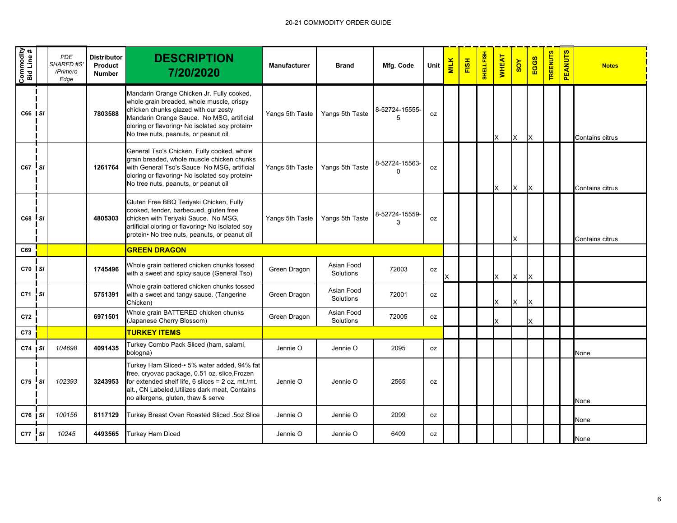| Commodity<br>Bid Line # |      | <b>PDE</b><br><b>SHARED #S</b><br>/Primero<br>Edge | <b>Distributor</b><br>Product<br><b>Number</b> | <b>DESCRIPTION</b><br>7/20/2020                                                                                                                                                                                                                                       | Manufacturer    | <b>Brand</b>            | Mfg. Code                  | Unit      | <b>MILK</b> | FISH | SHELLFISH | <b>WHEAT</b> | <b>SOY</b> | EGGS     | <b>TREENUTS</b> | <b>PEANUTS</b> | <b>Notes</b>    |
|-------------------------|------|----------------------------------------------------|------------------------------------------------|-----------------------------------------------------------------------------------------------------------------------------------------------------------------------------------------------------------------------------------------------------------------------|-----------------|-------------------------|----------------------------|-----------|-------------|------|-----------|--------------|------------|----------|-----------------|----------------|-----------------|
| C66 SI                  |      |                                                    | 7803588                                        | Mandarin Orange Chicken Jr. Fully cooked,<br>whole grain breaded, whole muscle, crispy<br>chicken chunks glazed with our zesty<br>Mandarin Orange Sauce. No MSG, artificial<br>oloring or flavoring• No isolated soy protein•<br>No tree nuts, peanuts, or peanut oil | Yangs 5th Taste | Yangs 5th Taste         | 8-52724-15555-<br>5        | 0Z        |             |      |           | X            | X          | <b>x</b> |                 |                | Contains citrus |
| C67 SI                  |      |                                                    | 1261764                                        | General Tso's Chicken, Fully cooked, whole<br>grain breaded, whole muscle chicken chunks<br>with General Tso's Sauce No MSG, artificial<br>oloring or flavoring · No isolated soy protein ·<br>No tree nuts, peanuts, or peanut oil                                   | Yangs 5th Taste | Yangs 5th Taste         | 8-52724-15563-<br>$\Omega$ | 0Z        |             |      |           | X            | X          | X        |                 |                | Contains citrus |
| C68 S/                  |      |                                                    | 4805303                                        | Gluten Free BBQ Teriyaki Chicken, Fully<br>cooked, tender, barbecued, gluten free<br>chicken with Teriyaki Sauce. No MSG,<br>artificial oloring or flavoring• No isolated soy<br>protein• No tree nuts, peanuts, or peanut oil                                        | Yangs 5th Taste | Yangs 5th Taste         | 8-52724-15559-<br>3        | <b>oz</b> |             |      |           |              | X          |          |                 |                | Contains citrus |
| C69                     |      |                                                    |                                                | <b>GREEN DRAGON</b>                                                                                                                                                                                                                                                   |                 |                         |                            |           |             |      |           |              |            |          |                 |                |                 |
| C70 SI                  |      |                                                    | 1745496                                        | Whole grain battered chicken chunks tossed<br>with a sweet and spicy sauce (General Tso)                                                                                                                                                                              | Green Dragon    | Asian Food<br>Solutions | 72003                      | oz        |             |      |           | X            | X          | Ιx       |                 |                |                 |
| C71                     | : SI |                                                    | 5751391                                        | Whole grain battered chicken chunks tossed<br>with a sweet and tangy sauce. (Tangerine<br>Chicken)                                                                                                                                                                    | Green Dragon    | Asian Food<br>Solutions | 72001                      | 0Z        |             |      |           | X            | X          | Ιx       |                 |                |                 |
| C72                     |      |                                                    | 6971501                                        | Whole grain BATTERED chicken chunks<br>(Japanese Cherry Blossom)                                                                                                                                                                                                      | Green Dragon    | Asian Food<br>Solutions | 72005                      | 0Z        |             |      |           | X            |            | X        |                 |                |                 |
| C73                     |      |                                                    |                                                | <b>TURKEY ITEMS</b>                                                                                                                                                                                                                                                   |                 |                         |                            |           |             |      |           |              |            |          |                 |                |                 |
| $C74$ $S1$              |      | 104698                                             | 4091435                                        | Turkey Combo Pack Sliced (ham, salami,<br>bologna)                                                                                                                                                                                                                    | Jennie O        | Jennie O                | 2095                       | 0Z        |             |      |           |              |            |          |                 |                | None            |
| $C75$ SI                |      | 102393                                             | 3243953                                        | Turkey Ham Sliced-• 5% water added, 94% fat<br>free, cryovac package, 0.51 oz. slice, Frozen<br>for extended shelf life, $6$ slices = $2$ oz. mt./mt.<br>alt., CN Labeled, Utilizes dark meat, Contains<br>no allergens, gluten, thaw & serve                         | Jennie O        | Jennie O                | 2565                       | 0Z        |             |      |           |              |            |          |                 |                | None            |
| $C76$ SI                |      | 100156                                             | 8117129                                        | Turkey Breast Oven Roasted Sliced .5oz Slice                                                                                                                                                                                                                          | Jennie O        | Jennie O                | 2099                       | 0Z        |             |      |           |              |            |          |                 |                | None            |
| $C77$ $SI$              |      | 10245                                              | 4493565                                        | <b>Turkey Ham Diced</b>                                                                                                                                                                                                                                               | Jennie O        | Jennie O                | 6409                       | 0Z        |             |      |           |              |            |          |                 |                | <b>None</b>     |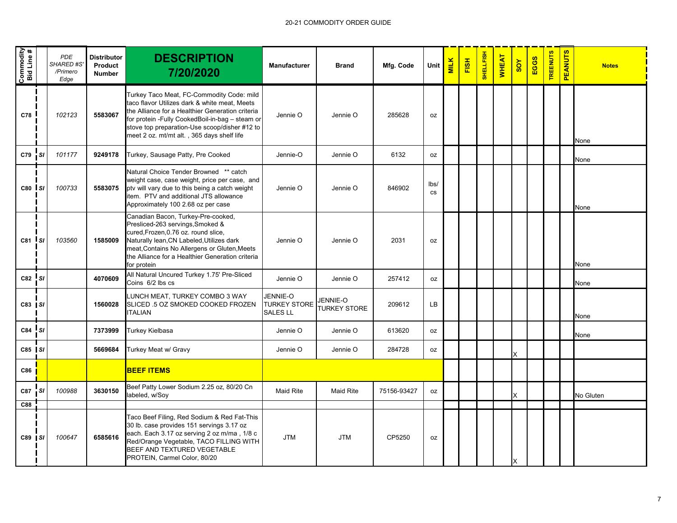| Commodity<br>Bid Line # |                                         | PDE<br>SHARED #S'<br>/Primero<br>Edge | <b>Distributor</b><br>Product<br><b>Number</b> | <b>DESCRIPTION</b><br>7/20/2020                                                                                                                                                                                                                                                                  | <b>Manufacturer</b>                                | <b>Brand</b>                           | Mfg. Code   | Unit       | <b>MILK</b> | FISH | <b>SHELLFISH</b> | <b>WHEAT</b> | $\frac{8}{10}$ | EGGS | <b>TREENUTS</b> | <b>PEANUTS</b> | <b>Notes</b> |
|-------------------------|-----------------------------------------|---------------------------------------|------------------------------------------------|--------------------------------------------------------------------------------------------------------------------------------------------------------------------------------------------------------------------------------------------------------------------------------------------------|----------------------------------------------------|----------------------------------------|-------------|------------|-------------|------|------------------|--------------|----------------|------|-----------------|----------------|--------------|
| C78                     |                                         | 102123                                | 5583067                                        | Turkey Taco Meat, FC-Commodity Code: mild<br>taco flavor Utilizes dark & white meat, Meets<br>the Alliance for a Healthier Generation criteria<br>for protein -Fully CookedBoil-in-bag - steam or<br>stove top preparation-Use scoop/disher #12 to<br>meet 2 oz. mt/mt alt., 365 days shelf life | Jennie O                                           | Jennie O                               | 285628      | 0Z         |             |      |                  |              |                |      |                 |                | None         |
| $C79$ $S1$              |                                         | 101177                                | 9249178                                        | Turkey, Sausage Patty, Pre Cooked                                                                                                                                                                                                                                                                | Jennie-O                                           | Jennie O                               | 6132        | 0Z         |             |      |                  |              |                |      |                 |                | None         |
| $\cos$ $\sin$           |                                         | 100733                                | 5583075                                        | Natural Choice Tender Browned ** catch<br>weight case, case weight, price per case, and<br>ptv will vary due to this being a catch weight<br>item. PTV and additional JTS allowance<br>Approximately 100 2.68 oz per case                                                                        | Jennie O                                           | Jennie O                               | 846902      | lbs/<br>CS |             |      |                  |              |                |      |                 |                | None         |
| C81 SI                  |                                         | 103560                                | 1585009                                        | Canadian Bacon, Turkey-Pre-cooked,<br>Presliced-263 servings, Smoked &<br>cured, Frozen, 0.76 oz. round slice,<br>Naturally lean, CN Labeled, Utilizes dark<br>meat, Contains No Allergens or Gluten, Meets<br>the Alliance for a Healthier Generation criteria<br>for protein                   | Jennie O                                           | Jennie O                               | 2031        | 0Z         |             |      |                  |              |                |      |                 |                | None         |
| $C82$ $SI$              |                                         |                                       | 4070609                                        | All Natural Uncured Turkey 1.75' Pre-Sliced<br>Coins 6/2 lbs cs                                                                                                                                                                                                                                  | Jennie O                                           | Jennie O                               | 257412      | 0Z         |             |      |                  |              |                |      |                 |                | None         |
| C83   SI                |                                         |                                       | 1560028                                        | LUNCH MEAT, TURKEY COMBO 3 WAY<br>SLICED .5 OZ SMOKED COOKED FROZEN<br><b>ITALIAN</b>                                                                                                                                                                                                            | JENNIE-O<br><b>TURKEY STORE</b><br><b>SALES LL</b> | <b>JENNIE-O</b><br><b>TURKEY STORE</b> | 209612      | LB         |             |      |                  |              |                |      |                 |                | None         |
| $C84$ SI                |                                         |                                       | 7373999                                        | <b>Turkey Kielbasa</b>                                                                                                                                                                                                                                                                           | Jennie O                                           | Jennie O                               | 613620      | 0Z         |             |      |                  |              |                |      |                 |                | None         |
| $C85$ $S1$              |                                         |                                       | 5669684                                        | Turkey Meat w/ Gravy                                                                                                                                                                                                                                                                             | Jennie O                                           | Jennie O                               | 284728      | 0Z         |             |      |                  |              | X              |      |                 |                |              |
| C86                     |                                         |                                       |                                                | <b>BEEF ITEMS</b>                                                                                                                                                                                                                                                                                |                                                    |                                        |             |            |             |      |                  |              |                |      |                 |                |              |
| C87                     | $\overline{\phantom{a}}$ s <sub>1</sub> | 100988                                | 3630150                                        | Beef Patty Lower Sodium 2.25 oz, 80/20 Cn<br>labeled, w/Soy                                                                                                                                                                                                                                      | <b>Maid Rite</b>                                   | <b>Maid Rite</b>                       | 75156-93427 | 0Z         |             |      |                  |              | X.             |      |                 |                | No Gluten    |
| C88                     |                                         |                                       |                                                |                                                                                                                                                                                                                                                                                                  |                                                    |                                        |             |            |             |      |                  |              |                |      |                 |                |              |
| C89   SI                |                                         | 100647                                | 6585616                                        | Taco Beef Filing, Red Sodium & Red Fat-This<br>30 lb. case provides 151 servings 3.17 oz<br>each. Each 3.17 oz serving 2 oz m/ma, 1/8 c<br>Red/Orange Vegetable, TACO FILLING WITH<br>BEEF AND TEXTURED VEGETABLE<br>PROTEIN, Carmel Color, 80/20                                                | <b>JTM</b>                                         | <b>JTM</b>                             | CP5250      | oz         |             |      |                  |              | х              |      |                 |                |              |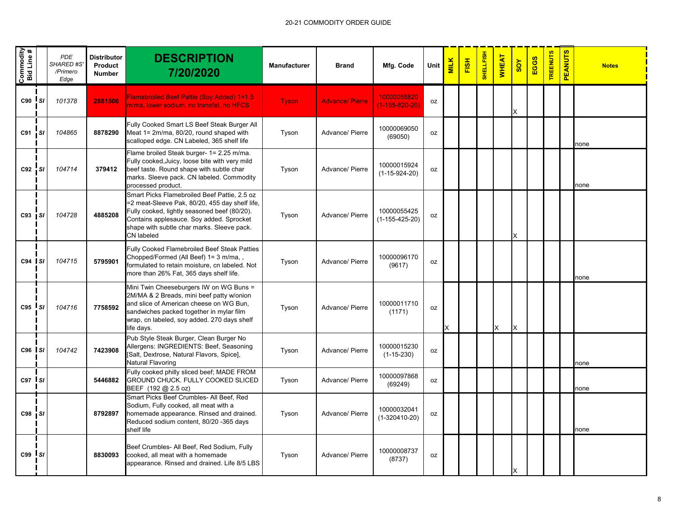| Commodity<br>Bid Line # |                 | <b>PDE</b><br><b>SHARED #S</b><br>/Primero<br>Edge | <b>Distributor</b><br>Product<br><b>Number</b> | <b>DESCRIPTION</b><br>7/20/2020                                                                                                                                                                                                                        | <b>Manufacturer</b> | <b>Brand</b>           | Mfg. Code                             | Unit      | <b>MILK</b> | <b>FISH</b> | SHELLFISH | <b>WHEAT</b> | <b>AOS</b> | EGGS | <b>TREENUTS</b> | <b>PEANUTS</b> | <b>Notes</b> |
|-------------------------|-----------------|----------------------------------------------------|------------------------------------------------|--------------------------------------------------------------------------------------------------------------------------------------------------------------------------------------------------------------------------------------------------------|---------------------|------------------------|---------------------------------------|-----------|-------------|-------------|-----------|--------------|------------|------|-----------------|----------------|--------------|
| C90                     | $\mathsf{I}$ si | 101378                                             | 2881506                                        | Flamebroiled Beef Pattie (Soy Added) 1=1.5<br>n/ma, lower sodium, no transfat, no HFCS                                                                                                                                                                 | <b>Tyson</b>        | <b>Advance/ Pierre</b> | 10000055820<br>$(1 - 155 - 820 - 20)$ | 0Z        |             |             |           |              | x          |      |                 |                |              |
| C91                     | <b>SI</b>       | 104865                                             | 8878290                                        | Fully Cooked Smart LS Beef Steak Burger All<br>Meat 1= 2m/ma, 80/20, round shaped with<br>scalloped edge. CN Labeled, 365 shelf life                                                                                                                   | Tyson               | Advance/ Pierre        | 10000069050<br>(69050)                | 0Z        |             |             |           |              |            |      |                 |                | none         |
| C92 SI                  |                 | 104714                                             | 379412                                         | Flame broiled Steak burger- 1= 2.25 m/ma.<br>Fully cooked, Juicy, loose bite with very mild<br>beef taste. Round shape with subtle char<br>marks. Sleeve pack. CN labeled. Commodity<br>processed product.                                             | Tyson               | Advance/ Pierre        | 10000015924<br>$(1-15-924-20)$        | 0Z        |             |             |           |              |            |      |                 |                | none         |
| $C93$ $S1$              |                 | 104728                                             | 4885208                                        | Smart Picks Flamebroiled Beef Pattie, 2.5 oz<br>=2 meat-Sleeve Pak, 80/20, 455 day shelf life,<br>Fully cooked, lightly seasoned beef (80/20).<br>Contains applesauce. Soy added. Sprocket<br>shape with subtle char marks. Sleeve pack.<br>CN labeled | Tyson               | Advance/ Pierre        | 10000055425<br>$(1-155-425-20)$       | 0Z        |             |             |           |              | X          |      |                 |                |              |
| $C94$ $S1$              |                 | 104715                                             | 5795901                                        | <b>Fully Cooked Flamebroiled Beef Steak Patties</b><br>Chopped/Formed (All Beef) 1= 3 m/ma,,<br>formulated to retain moisture, cn labeled. Not<br>more than 26% Fat, 365 days shelf life.                                                              | Tyson               | Advance/ Pierre        | 10000096170<br>(9617)                 | <b>OZ</b> |             |             |           |              |            |      |                 |                | none         |
| $C95$ $S1$              |                 | 104716                                             | 7758592                                        | Mini Twin Cheeseburgers IW on WG Buns =<br>2M/MA & 2 Breads, mini beef patty w/onion<br>and slice of American cheese on WG Bun,<br>sandwiches packed together in mylar film<br>wrap, cn labeled, soy added. 270 days shelf<br>life days.               | Tyson               | Advance/ Pierre        | 10000011710<br>(1171)                 | 0Z        | x           |             |           | X            | $\times$   |      |                 |                |              |
| $C96$ $S1$              |                 | 104742                                             | 7423908                                        | Pub Style Steak Burger, Clean Burger No<br>Allergens: INGREDIENTS: Beef, Seasoning<br>[Salt, Dextrose, Natural Flavors, Spice],<br><b>Natural Flavoring</b>                                                                                            | Tyson               | Advance/ Pierre        | 10000015230<br>$(1-15-230)$           | 0Z        |             |             |           |              |            |      |                 |                | none         |
| $C97$ $S1$              |                 |                                                    | 5446882                                        | Fully cooked philly sliced beef; MADE FROM<br>GROUND CHUCK. FULLY COOKED SLICED<br>BEEF (192 @ 2.5 oz)                                                                                                                                                 | Tyson               | Advance/ Pierre        | 10000097868<br>(69249)                | 0Z        |             |             |           |              |            |      |                 |                | none         |
| C98 SI                  |                 |                                                    | 8792897                                        | Smart Picks Beef Crumbles- All Beef, Red<br>Sodium, Fully cooked, all meat with a<br>homemade appearance. Rinsed and drained.<br>Reduced sodium content, 80/20 -365 days<br>shelf life                                                                 | Tyson               | Advance/ Pierre        | 10000032041<br>$(1-320410-20)$        | 0Z        |             |             |           |              |            |      |                 |                | none         |
| $C99$ $S1$              |                 |                                                    | 8830093                                        | Beef Crumbles- All Beef, Red Sodium, Fully<br>cooked, all meat with a homemade<br>appearance. Rinsed and drained. Life 8/5 LBS                                                                                                                         | Tyson               | Advance/ Pierre        | 10000008737<br>(8737)                 | 0Z        |             |             |           |              |            |      |                 |                |              |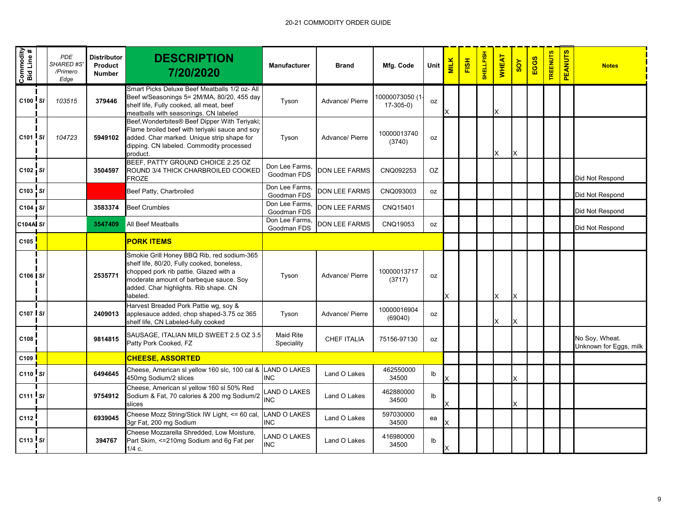| Commodity<br>Bid Line # |      | <b>PDE</b><br><b>SHARED #S'</b><br>/Primero<br>Edge | <b>Distributor</b><br>Product<br><b>Number</b> | <b>DESCRIPTION</b><br>7/20/2020                                                                                                                                                                                                  | <b>Manufacturer</b>               | <b>Brand</b>         | Mfg. Code                   | Unit | <b>MILK</b> | FISH | SHELLFISH | <b>WHEAT</b> | 80Y | EGGS | <b>TREENUTS</b> | <b>PEANUTS</b> | <b>Notes</b>                             |
|-------------------------|------|-----------------------------------------------------|------------------------------------------------|----------------------------------------------------------------------------------------------------------------------------------------------------------------------------------------------------------------------------------|-----------------------------------|----------------------|-----------------------------|------|-------------|------|-----------|--------------|-----|------|-----------------|----------------|------------------------------------------|
| $C100$ $S1$             |      | 103515                                              | 379446                                         | Smart Picks Deluxe Beef Meatballs 1/2 oz- All<br>Beef w/Seasonings 5= 2M/MA, 80/20, 455 day<br>shelf life, Fully cooked, all meat, beef<br>meatballs with seasonings. CN labeled                                                 | Tyson                             | Advance/ Pierre      | 10000073050(1<br>$17-305-0$ | 0Z   | х           |      |           | X            |     |      |                 |                |                                          |
| $C101$ $S1$             |      | 104723                                              | 5949102                                        | Beef, Wonderbites® Beef Dipper With Teriyaki;<br>Flame broiled beef with teriyaki sauce and soy<br>added. Char marked. Unique strip shape for<br>dipping. CN labeled. Commodity processed<br>product.                            | Tyson                             | Advance/ Pierre      | 10000013740<br>(3740)       | 0Z   |             |      |           | X            | X   |      |                 |                |                                          |
| $C102$ SI               |      |                                                     | 3504597                                        | BEEF, PATTY GROUND CHOICE 2.25 OZ<br>ROUND 3/4 THICK CHARBROILED COOKED<br><b>FROZE</b>                                                                                                                                          | Don Lee Farms,<br>Goodman FDS     | <b>DON LEE FARMS</b> | CNQ092253                   | OZ   |             |      |           |              |     |      |                 |                | Did Not Respond                          |
| $C103$ SI               |      |                                                     |                                                | Beef Patty, Charbroiled                                                                                                                                                                                                          | Don Lee Farms.<br>Goodman FDS     | <b>DON LEE FARMS</b> | CNQ093003                   | 0Z   |             |      |           |              |     |      |                 |                | Did Not Respond                          |
| C104 S/                 |      |                                                     | 3583374                                        | <b>Beef Crumbles</b>                                                                                                                                                                                                             | Don Lee Farms.<br>Goodman FDS     | <b>DON LEE FARMS</b> | CNQ15401                    |      |             |      |           |              |     |      |                 |                | Did Not Respond                          |
| <b>C104A SI</b>         |      |                                                     | 3547409                                        | All Beef Meatballs                                                                                                                                                                                                               | Don Lee Farms,<br>Goodman FDS     | <b>DON LEE FARMS</b> | CNQ19053                    | 0Z   |             |      |           |              |     |      |                 |                | Did Not Respond                          |
| C105                    |      |                                                     |                                                | <b>PORK ITEMS</b>                                                                                                                                                                                                                |                                   |                      |                             |      |             |      |           |              |     |      |                 |                |                                          |
| C106 SI                 |      |                                                     | 2535771                                        | Smokie Grill Honey BBQ Rib, red sodium-365<br>shelf life, 80/20, Fully cooked, boneless,<br>chopped pork rib pattie. Glazed with a<br>moderate amount of barbeque sauce. Soy<br>added. Char highlights. Rib shape. CN<br>abeled. | Tyson                             | Advance/ Pierre      | 10000013717<br>(3717)       | 0Z   | x           |      |           | X            | X   |      |                 |                |                                          |
| C107 SI                 |      |                                                     | 2409013                                        | Harvest Breaded Pork Pattie wg, soy &<br>applesauce added, chop shaped-3.75 oz 365<br>shelf life, CN Labeled-fully cooked                                                                                                        | Tyson                             | Advance/ Pierre      | 10000016904<br>(69040)      | 0Z   |             |      |           | X            | X   |      |                 |                |                                          |
| C108                    |      |                                                     | 9814815                                        | SAUSAGE, ITALIAN MILD SWEET 2.5 OZ 3.5<br>Patty Pork Cooked, FZ                                                                                                                                                                  | <b>Maid Rite</b><br>Speciality    | <b>CHEF ITALIA</b>   | 75156-97130                 | 0Z   |             |      |           |              |     |      |                 |                | No Soy, Wheat.<br>Unknown for Eggs, milk |
| C109                    |      |                                                     |                                                | <b>CHEESE, ASSORTED</b>                                                                                                                                                                                                          |                                   |                      |                             |      |             |      |           |              |     |      |                 |                |                                          |
| $C110$ SI               |      |                                                     | 6494645                                        | Cheese, American sl yellow 160 slc, 100 cal &<br>450mg Sodium/2 slices                                                                                                                                                           | <b>LAND O LAKES</b><br><b>INC</b> | Land O Lakes         | 462550000<br>34500          | Ib   |             |      |           |              |     |      |                 |                |                                          |
| C111                    | l sı |                                                     | 9754912                                        | Cheese, American sl yellow 160 sl 50% Red<br>Sodium & Fat, 70 calories & 200 mg Sodium/2<br>slices                                                                                                                               | AND O LAKES<br><b>INC</b>         | Land O Lakes         | 462880000<br>34500          | Ib   |             |      |           |              | X   |      |                 |                |                                          |
| C112                    |      |                                                     | 6939045                                        | Cheese Mozz String/Stick IW Light, <= 60 cal, LAND O LAKES<br>3gr Fat, 200 mg Sodium                                                                                                                                             | <b>INC</b>                        | Land O Lakes         | 597030000<br>34500          | ea   |             |      |           |              |     |      |                 |                |                                          |
| $C113$ $S1$             |      |                                                     | 394767                                         | Cheese Mozzarella Shredded, Low Moisture,<br>Part Skim, <= 210mg Sodium and 6g Fat per<br>$1/4$ c.                                                                                                                               | AND O LAKES<br><b>INC</b>         | Land O Lakes         | 416980000<br>34500          | Ib   | x           |      |           |              |     |      |                 |                |                                          |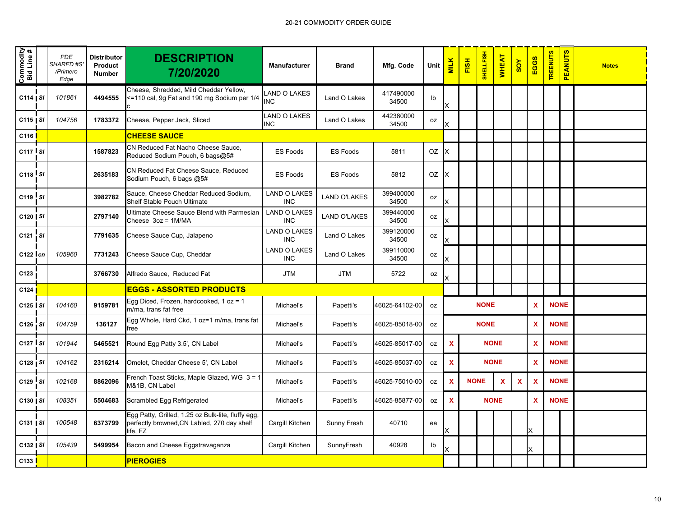| Commodity<br>Bid Line # | <b>PDE</b><br><b>SHARED #S'</b><br>/Primero<br>Edge | <b>Distributor</b><br>Product<br><b>Number</b> | <b>DESCRIPTION</b><br>7/20/2020                                                                               | <b>Manufacturer</b>               | <b>Brand</b>        | Mfg. Code          | Unit           | <b>MILK</b> | FISH        | <b>SHELLFISH</b> | <b>WHEAT</b> | $rac{\lambda}{\lambda}$ | EGGS                      | <b>TREENUTS</b> | <b>PEANUTS</b> | <b>Notes</b> |
|-------------------------|-----------------------------------------------------|------------------------------------------------|---------------------------------------------------------------------------------------------------------------|-----------------------------------|---------------------|--------------------|----------------|-------------|-------------|------------------|--------------|-------------------------|---------------------------|-----------------|----------------|--------------|
| $C114$ SI               | 101861                                              | 4494555                                        | Cheese, Shredded, Mild Cheddar Yellow,<br><=110 cal, 9g Fat and 190 mg Sodium per 1/4                         | LAND O LAKES<br><b>INC</b>        | Land O Lakes        | 417490000<br>34500 | I <sub>b</sub> |             |             |                  |              |                         |                           |                 |                |              |
| $C115$   SI             | 104756                                              | 1783372                                        | Cheese, Pepper Jack, Sliced                                                                                   | LAND O LAKES<br><b>INC</b>        | Land O Lakes        | 442380000<br>34500 | oz             |             |             |                  |              |                         |                           |                 |                |              |
| C116                    |                                                     |                                                | <b>CHEESE SAUCE</b>                                                                                           |                                   |                     |                    |                |             |             |                  |              |                         |                           |                 |                |              |
| $C117$ SI               |                                                     | 1587823                                        | CN Reduced Fat Nacho Cheese Sauce,<br>Reduced Sodium Pouch, 6 bags@5#                                         | <b>ES Foods</b>                   | <b>ES Foods</b>     | 5811               | OZ             | X           |             |                  |              |                         |                           |                 |                |              |
| $C118$ $S1$             |                                                     | 2635183                                        | CN Reduced Fat Cheese Sauce, Reduced<br>Sodium Pouch, 6 bags @5#                                              | <b>ES Foods</b>                   | <b>ES Foods</b>     | 5812               | OZ             | х           |             |                  |              |                         |                           |                 |                |              |
| $C119$ SI               |                                                     | 3982782                                        | Sauce, Cheese Cheddar Reduced Sodium,<br><b>Shelf Stable Pouch Ultimate</b>                                   | <b>LAND O LAKES</b><br><b>INC</b> | <b>LAND O'LAKES</b> | 399400000<br>34500 | oz             |             |             |                  |              |                         |                           |                 |                |              |
| C120   SI               |                                                     | 2797140                                        | Ultimate Cheese Sauce Blend with Parmesian<br>Cheese 3oz = 1M/MA                                              | <b>LAND O LAKES</b><br><b>INC</b> | <b>LAND O'LAKES</b> | 399440000<br>34500 | 0Z             |             |             |                  |              |                         |                           |                 |                |              |
| C121 SI                 |                                                     | 7791635                                        | Cheese Sauce Cup, Jalapeno                                                                                    | <b>LAND O LAKES</b><br><b>INC</b> | Land O Lakes        | 399120000<br>34500 | oz             |             |             |                  |              |                         |                           |                 |                |              |
| $C122$ cn               | 105960                                              | 7731243                                        | Cheese Sauce Cup, Cheddar                                                                                     | <b>LAND O LAKES</b><br><b>INC</b> | Land O Lakes        | 399110000<br>34500 | <b>OZ</b>      |             |             |                  |              |                         |                           |                 |                |              |
| C123                    |                                                     | 3766730                                        | Alfredo Sauce, Reduced Fat                                                                                    | <b>JTM</b>                        | <b>JTM</b>          | 5722               | oz             |             |             |                  |              |                         |                           |                 |                |              |
| C124                    |                                                     |                                                | <b>EGGS - ASSORTED PRODUCTS</b>                                                                               |                                   |                     |                    |                |             |             |                  |              |                         |                           |                 |                |              |
| $C125$ SI               | 104160                                              | 9159781                                        | Egg Diced, Frozen, hardcooked, 1 oz = 1<br>m/ma. trans fat free                                               | Michael's                         | Papetti's           | 46025-64102-00     | 0Z             |             |             | <b>NONE</b>      |              |                         | $\boldsymbol{\mathsf{x}}$ | <b>NONE</b>     |                |              |
| C126 SI                 | 104759                                              | 136127                                         | Egg Whole, Hard Ckd, 1 oz=1 m/ma, trans fat<br>free                                                           | Michael's                         | Papetti's           | 46025-85018-00     | 0Z             |             |             | <b>NONE</b>      |              |                         | $\overline{\mathbf{X}}$   | <b>NONE</b>     |                |              |
| $C127$ SI               | 101944                                              | 5465521                                        | Round Egg Patty 3.5', CN Label                                                                                | Michael's                         | Papetti's           | 46025-85017-00     | oz             | $\mathbf x$ |             | <b>NONE</b>      |              |                         | $\boldsymbol{\mathsf{x}}$ | <b>NONE</b>     |                |              |
| $C128$ $S1$             | 104162                                              | 2316214                                        | Omelet, Cheddar Cheese 5', CN Label                                                                           | Michael's                         | Papetti's           | 46025-85037-00     | <b>OZ</b>      | X           |             | <b>NONE</b>      |              |                         | $\mathbf x$               | <b>NONE</b>     |                |              |
| $C129$ SI               | 102168                                              | 8862096                                        | French Toast Sticks, Maple Glazed, WG 3 = 1<br>M&1B, CN Label                                                 | Michael's                         | Papetti's           | 46025-75010-00     | oz             | X           | <b>NONE</b> |                  | $\mathbf x$  | X                       | $\boldsymbol{\mathsf{x}}$ | <b>NONE</b>     |                |              |
| $C130$   SI             | 108351                                              | 5504683                                        | Scrambled Egg Refrigerated                                                                                    | Michael's                         | Papetti's           | 46025-85877-00     | oz             | X           |             | <b>NONE</b>      |              |                         | $\boldsymbol{\mathsf{x}}$ | <b>NONE</b>     |                |              |
| $C131$ $S1$             | 100548                                              | 6373799                                        | Egg Patty, Grilled, 1.25 oz Bulk-lite, fluffy egg,<br>perfectly browned, CN Labled, 270 day shelf<br>life, FZ | Cargill Kitchen                   | Sunny Fresh         | 40710              | ea             |             |             |                  |              |                         |                           |                 |                |              |
| C132   SI               | 105439                                              | 5499954                                        | Bacon and Cheese Eggstravaganza                                                                               | Cargill Kitchen                   | SunnyFresh          | 40928              | Ib             |             |             |                  |              |                         | Χ                         |                 |                |              |
| C133 <mark>l</mark>     |                                                     |                                                | <b>PIEROGIES</b>                                                                                              |                                   |                     |                    |                |             |             |                  |              |                         |                           |                 |                |              |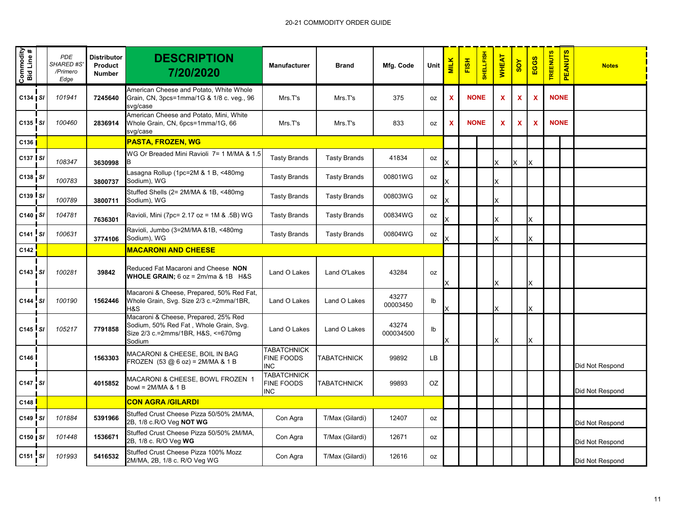| Commodity<br>Bid Line # | <b>PDE</b><br><b>SHARED #S</b><br>/Primero<br>Edge | <b>Distributor</b><br>Product<br><b>Number</b> | <b>DESCRIPTION</b><br>7/20/2020                                                                                                | <b>Manufacturer</b>                                   | <b>Brand</b>        | Mfg. Code          | Unit           | <b>MILK</b> | FISH        | <b>SHELLFISH</b> | <b>WHEAT</b> | 80Y | EGGS                      | <b>TREENUTS</b> | <b>PEANUTS</b> | <b>Notes</b>    |
|-------------------------|----------------------------------------------------|------------------------------------------------|--------------------------------------------------------------------------------------------------------------------------------|-------------------------------------------------------|---------------------|--------------------|----------------|-------------|-------------|------------------|--------------|-----|---------------------------|-----------------|----------------|-----------------|
| C134   SI               | 101941                                             | 7245640                                        | American Cheese and Potato, White Whole<br>Grain, CN, 3pcs=1mma/1G & 1/8 c. veg., 96<br>svg/case                               | Mrs.T's                                               | Mrs.T's             | 375                | <b>OZ</b>      | X           | <b>NONE</b> |                  | X            | X   | $\boldsymbol{\mathsf{x}}$ | <b>NONE</b>     |                |                 |
| $C135$ SI               | 100460                                             | 2836914                                        | American Cheese and Potato, Mini, White<br>Whole Grain, CN, 6pcs=1mma/1G, 66<br>svg/case                                       | Mrs.T's                                               | Mrs.T's             | 833                | 0Z             | X           | <b>NONE</b> |                  | X            | X   | $\boldsymbol{\mathsf{x}}$ | <b>NONE</b>     |                |                 |
| C136                    |                                                    |                                                | <b>PASTA, FROZEN, WG</b>                                                                                                       |                                                       |                     |                    |                |             |             |                  |              |     |                           |                 |                |                 |
| C137 SI                 | 108347                                             | 3630998                                        | WG Or Breaded Mini Ravioli 7= 1 M/MA & 1.5                                                                                     | <b>Tasty Brands</b>                                   | <b>Tasty Brands</b> | 41834              | 0Z             |             |             |                  | X.           | X   | Ιx                        |                 |                |                 |
| C138 SI                 | 100783                                             | 3800737                                        | asagna Rollup (1pc=2M & 1 B, <480mg<br>Sodium), WG                                                                             | <b>Tasty Brands</b>                                   | <b>Tasty Brands</b> | 00801WG            | 0Z             |             |             |                  | X            |     |                           |                 |                |                 |
| C139 SI                 | 100789                                             | 3800711                                        | Stuffed Shells (2= 2M/MA & 1B, <480mg<br>Sodium), WG                                                                           | <b>Tasty Brands</b>                                   | <b>Tasty Brands</b> | 00803WG            | oz             |             |             |                  |              |     |                           |                 |                |                 |
| $C140$ $S1$             | 104781                                             | 7636301                                        | Ravioli, Mini (7pc= 2.17 oz = 1M & .5B) WG                                                                                     | <b>Tasty Brands</b>                                   | <b>Tasty Brands</b> | 00834WG            | oz             |             |             |                  | X            |     | X                         |                 |                |                 |
| $C141$ SI               | 100631                                             | 3774106                                        | Ravioli, Jumbo (3=2M/MA &1B, <480mg<br>Sodium), WG                                                                             | <b>Tasty Brands</b>                                   | <b>Tasty Brands</b> | 00804WG            | 0Z             |             |             |                  | X.           |     | X                         |                 |                |                 |
| C142                    |                                                    |                                                | <b>MACARONI AND CHEESE</b>                                                                                                     |                                                       |                     |                    |                |             |             |                  |              |     |                           |                 |                |                 |
| C143 SI                 | 100281                                             | 39842                                          | Reduced Fat Macaroni and Cheese NON<br><b>WHOLE GRAIN</b> ; $6 oz = 2m/ma & 1B$ H&S                                            | Land O Lakes                                          | Land O'Lakes        | 43284              | 0Z             |             |             |                  | X            |     | X                         |                 |                |                 |
| $C144$ SI               | 100190                                             | 1562446                                        | Macaroni & Cheese, Prepared, 50% Red Fat,<br>Whole Grain, Svg. Size 2/3 c.=2mma/1BR,<br>H&S                                    | Land O Lakes                                          | Land O Lakes        | 43277<br>00003450  | Ib             |             |             |                  |              |     |                           |                 |                |                 |
| C145 SI                 | 105217                                             | 7791858                                        | Macaroni & Cheese, Prepared, 25% Red<br>Sodium, 50% Red Fat, Whole Grain, Svg.<br>Size 2/3 c.=2mms/1BR, H&S, <=670mg<br>Sodium | Land O Lakes                                          | Land O Lakes        | 43274<br>000034500 | I <sub>b</sub> |             |             |                  | X.           |     | X                         |                 |                |                 |
| C146                    |                                                    | 1563303                                        | MACARONI & CHEESE, BOIL IN BAG<br>FROZEN $(53 \text{ @ } 6 \text{ oz}) = 2M/MA & 1B$                                           | <b>TABATCHNICK</b><br><b>FINE FOODS</b><br><b>INC</b> | TABATCHNICK         | 99892              | LB             |             |             |                  |              |     |                           |                 |                | Did Not Respond |
| C147 SI                 |                                                    | 4015852                                        | MACARONI & CHEESE, BOWL FROZEN 1<br>bowl = $2M/MA$ & 1 B                                                                       | <b>TABATCHNICK</b><br>FINE FOODS<br><b>INC</b>        | TABATCHNICK         | 99893              | OZ             |             |             |                  |              |     |                           |                 |                | Did Not Respond |
| C <sub>148</sub>        |                                                    |                                                | <b>CON AGRA /GILARDI</b>                                                                                                       |                                                       |                     |                    |                |             |             |                  |              |     |                           |                 |                |                 |
| C149 SI                 | 101884                                             | 5391966                                        | Stuffed Crust Cheese Pizza 50/50% 2M/MA,<br>2B, 1/8 c.R/O Veg NOT WG                                                           | Con Agra                                              | T/Max (Gilardi)     | 12407              | 0Z             |             |             |                  |              |     |                           |                 |                | Did Not Respond |
| C150   SI               | 101448                                             | 1536671                                        | Stuffed Crust Cheese Pizza 50/50% 2M/MA,<br>2B, 1/8 c. R/O Veg WG                                                              | Con Agra                                              | T/Max (Gilardi)     | 12671              | 0Z             |             |             |                  |              |     |                           |                 |                | Did Not Respond |
| $C151$ SI               | 101993                                             | 5416532                                        | Stuffed Crust Cheese Pizza 100% Mozz<br>2M/MA, 2B, 1/8 c. R/O Veg WG                                                           | Con Agra                                              | T/Max (Gilardi)     | 12616              | oz             |             |             |                  |              |     |                           |                 |                | Did Not Respond |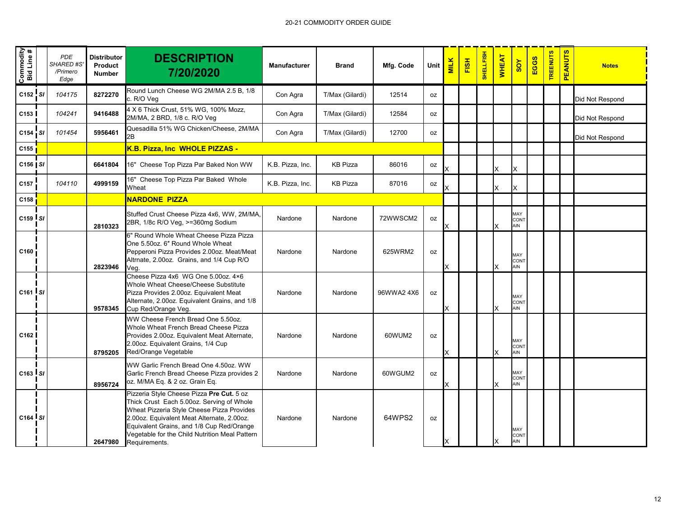| Commodity<br>Bid Line # | <b>PDE</b><br>SHARED #S'<br>/Primero<br>Edge | <b>Distributor</b><br>Product<br><b>Number</b> | <b>DESCRIPTION</b><br>7/20/2020                                                                                                                                                                                                                                                                    | <b>Manufacturer</b> | <b>Brand</b>    | Mfg. Code | Unit | <b>MILK</b> | <b>FISH</b> | <b>HELLFISH</b> | <b>WHEAT</b> | SOY                              | EGGS | <b>TREENUTS</b> | <b>PEANUTS</b> | <b>Notes</b>    |
|-------------------------|----------------------------------------------|------------------------------------------------|----------------------------------------------------------------------------------------------------------------------------------------------------------------------------------------------------------------------------------------------------------------------------------------------------|---------------------|-----------------|-----------|------|-------------|-------------|-----------------|--------------|----------------------------------|------|-----------------|----------------|-----------------|
| C152 SI                 | 104175                                       | 8272270                                        | Round Lunch Cheese WG 2M/MA 2.5 B, 1/8<br>c. R/O Veg                                                                                                                                                                                                                                               | Con Agra            | T/Max (Gilardi) | 12514     | 0Z   |             |             |                 |              |                                  |      |                 |                | Did Not Respond |
| C153                    | 104241                                       | 9416488                                        | 4 X 6 Thick Crust, 51% WG, 100% Mozz,<br>2M/MA, 2 BRD, 1/8 c. R/O Veg                                                                                                                                                                                                                              | Con Agra            | T/Max (Gilardi) | 12584     | oz   |             |             |                 |              |                                  |      |                 |                | Did Not Respond |
| C154 SI                 | 101454                                       | 5956461                                        | Quesadilla 51% WG Chicken/Cheese, 2M/MA<br>2В                                                                                                                                                                                                                                                      | Con Agra            | T/Max (Gilardi) | 12700     | 0Z   |             |             |                 |              |                                  |      |                 |                | Did Not Respond |
| C155                    |                                              |                                                | K.B. Pizza, Inc WHOLE PIZZAS -                                                                                                                                                                                                                                                                     |                     |                 |           |      |             |             |                 |              |                                  |      |                 |                |                 |
| $C156$   SI             |                                              | 6641804                                        | 16" Cheese Top Pizza Par Baked Non WW                                                                                                                                                                                                                                                              | K.B. Pizza, Inc.    | <b>KB Pizza</b> | 86016     | oz   |             |             |                 | X            | ΙX                               |      |                 |                |                 |
| C157                    | 104110                                       | 4999159                                        | 16" Cheese Top Pizza Par Baked Whole<br>Wheat                                                                                                                                                                                                                                                      | K.B. Pizza, Inc.    | <b>KB Pizza</b> | 87016     | oz   |             |             |                 | X            |                                  |      |                 |                |                 |
| C158                    |                                              |                                                | <b>NARDONE PIZZA</b>                                                                                                                                                                                                                                                                               |                     |                 |           |      |             |             |                 |              |                                  |      |                 |                |                 |
| $C159$ $S1$             |                                              | 2810323                                        | Stuffed Crust Cheese Pizza 4x6, WW, 2M/MA,<br>2BR, 1/8c R/O Veg, >=360mg Sodium                                                                                                                                                                                                                    | Nardone             | Nardone         | 72WWSCM2  | oz   |             |             |                 | x            | MAY<br><b>CONT</b><br><b>AIN</b> |      |                 |                |                 |
| C160                    |                                              | 2823946                                        | 6" Round Whole Wheat Cheese Pizza Pizza<br>One 5.50oz. 6" Round Whole Wheat<br>Pepperoni Pizza Provides 2.00oz. Meat/Meat<br>Altrnate, 2.00oz. Grains, and 1/4 Cup R/O<br>Veq.                                                                                                                     | Nardone             | Nardone         | 625WRM2   | 0Z   | x           |             |                 | X            | MAY<br><b>CONT</b><br>AIN        |      |                 |                |                 |
| $C161$ $S1$             |                                              | 9578345                                        | Cheese Pizza 4x6 WG One 5.00oz. 4×6<br>Whole Wheat Cheese/Cheese Substitute<br>Pizza Provides 2.00oz. Equivalent Meat<br>Alternate, 2.00oz. Equivalent Grains, and 1/8<br>Cup Red/Orange Veg.                                                                                                      | Nardone             | Nardone         | 96WWA24X6 | 0Z   | Х           |             |                 | X            | MAY<br><b>CONT</b><br>AIN        |      |                 |                |                 |
| C <sub>162</sub>        |                                              | 8795205                                        | WW Cheese French Bread One 5.50oz.<br>Whole Wheat French Bread Cheese Pizza<br>Provides 2.00oz. Equivalent Meat Alternate,<br>2.00oz. Equivalent Grains, 1/4 Cup<br>Red/Orange Vegetable                                                                                                           | Nardone             | Nardone         | 60WUM2    | 0Z   | х           |             |                 | X            | MAY<br><b>CONT</b><br>AIN        |      |                 |                |                 |
| $C163$ $S1$             |                                              | 8956724                                        | WW Garlic French Bread One 4.50oz. WW<br>Garlic French Bread Cheese Pizza provides 2<br>oz. M/MA Eq. & 2 oz. Grain Eq.                                                                                                                                                                             | Nardone             | Nardone         | 60WGUM2   | 0Z   | х           |             |                 | x            | MAY<br>CONT<br>AIN               |      |                 |                |                 |
| $C164$ $S1$             |                                              | 2647980                                        | Pizzeria Style Cheese Pizza Pre Cut. 5 oz<br>Thick Crust Each 5.00oz. Serving of Whole<br>Wheat Pizzeria Style Cheese Pizza Provides<br>2.00oz. Equivalent Meat Alternate, 2.00oz.<br>Equivalent Grains, and 1/8 Cup Red/Orange<br>Vegetable for the Child Nutrition Meal Pattern<br>Requirements. | Nardone             | Nardone         | 64WPS2    | 0Z   | ΙX          |             |                 | ΙX           | MAY<br><b>CONT</b><br>AIN        |      |                 |                |                 |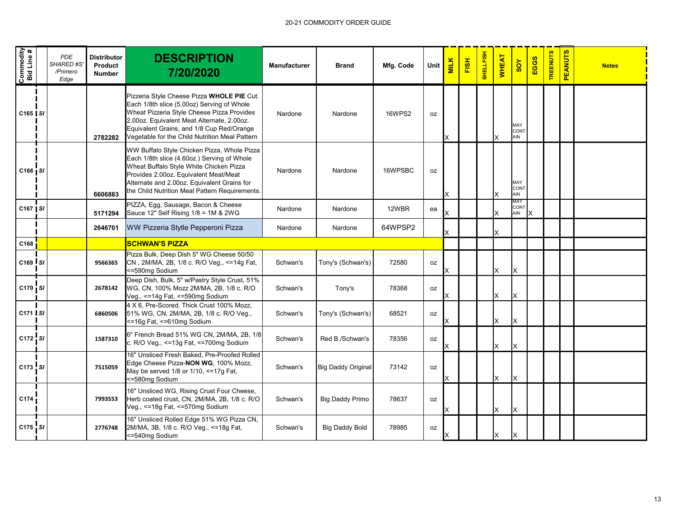| Commodity<br>Bid Line # | PDE<br><b>SHARED#S</b><br>/Primero<br>Edge | <b>Distributor</b><br>Product<br><b>Number</b> | <b>DESCRIPTION</b><br>7/20/2020                                                                                                                                                                                                                                                     | <b>Manufacturer</b> | <b>Brand</b>              | Mfg. Code     | Unit | <b>MILK</b> | FISH | <b>SHELLFISH</b> | <b>WHEAT</b> | SOY                            | EGGS | <b>TREENUTS</b> | <b>PEANUTS</b> | <b>Notes</b> |
|-------------------------|--------------------------------------------|------------------------------------------------|-------------------------------------------------------------------------------------------------------------------------------------------------------------------------------------------------------------------------------------------------------------------------------------|---------------------|---------------------------|---------------|------|-------------|------|------------------|--------------|--------------------------------|------|-----------------|----------------|--------------|
| $C165$ $S1$             |                                            | 2782282                                        | Pizzeria Style Cheese Pizza WHOLE PIE Cut.<br>Each 1/8th slice (5.00oz) Serving of Whole<br>Wheat Pizzeria Style Cheese Pizza Provides<br>2.00oz. Equivalent Meat Alternate, 2.00oz.<br>Equivalent Grains, and 1/8 Cup Red/Orange<br>Vegetable for the Child Nutrition Meal Pattern | Nardone             | Nardone                   | <b>16WPS2</b> | 0Z   |             |      |                  |              | MAY<br>CON <sub>1</sub><br>AIN |      |                 |                |              |
| $C166$ $S1$             |                                            | 6606883                                        | WW Buffalo Style Chicken Pizza, Whole Pizza<br>Each 1/8th slice (4.60oz.) Serving of Whole<br>Wheat Buffalo Style White Chicken Pizza<br>Provides 2.00oz. Equivalent Meat/Meat<br>Alternate and 2.00oz. Equivalent Grains for<br>the Child Nutrition Meal Pattern Requirements.     | Nardone             | Nardone                   | 16WPSBC       | 0Z   |             |      |                  |              | MAY<br><b>CONT</b><br>AIN      |      |                 |                |              |
| C167   SI               |                                            | 5171294                                        | PIZZA, Egg, Sausage, Bacon & Cheese<br>Sauce 12" Self Rising 1/8 = 1M & 2WG                                                                                                                                                                                                         | Nardone             | Nardone                   | 12WBR         | ea   |             |      |                  | X            | MAY<br>CONT<br>AIN             |      |                 |                |              |
|                         |                                            | 2646701                                        | WW Pizzeria Stytle Pepperoni Pizza                                                                                                                                                                                                                                                  | Nardone             | Nardone                   | 64WPSP2       |      |             |      |                  |              |                                |      |                 |                |              |
| C168                    |                                            |                                                | <b>SCHWAN'S PIZZA</b>                                                                                                                                                                                                                                                               |                     |                           |               |      |             |      |                  |              |                                |      |                 |                |              |
| $C169$ $S1$             |                                            | 9566365                                        | Pizza Bulk, Deep Dish 5" WG Cheese 50/50<br>CN, 2M/MA, 2B, 1/8 c. R/O Veg., <= 14g Fat,<br><=590mg Sodium                                                                                                                                                                           | Schwan's            | Tony's (Schwan's)         | 72580         | 0Z   |             |      |                  | X            | х                              |      |                 |                |              |
| C170 SI                 |                                            | 2678142                                        | Deep Dish, Bulk, 5" w/Pastry Style Crust, 51%<br>WG, CN, 100% Mozz 2M/MA, 2B, 1/8 c. R/O<br>Veg., <=14g Fat, <=590mg Sodium                                                                                                                                                         | Schwan's            | Tony's                    | 78368         | oz   |             |      |                  | X            | X                              |      |                 |                |              |
| C171 SI                 |                                            | 6860506                                        | 4 X 6, Pre-Scored, Thick Crust 100% Mozz,<br>51% WG, CN, 2M/MA, 2B, 1/8 c. R/O Veg.,<br><=16g Fat, <=610mg Sodium                                                                                                                                                                   | Schwan's            | Tony's (Schwan's)         | 68521         | 0Z   |             |      |                  | X            | X                              |      |                 |                |              |
| C172 SI                 |                                            | 1587310                                        | 6" French Bread 51% WG CN, 2M/MA, 2B, 1/8<br>c. R/O Veg., <=13g Fat, <=700mg Sodium                                                                                                                                                                                                 | Schwan's            | Red B./Schwan's           | 78356         | 0Z   |             |      |                  | X            | X                              |      |                 |                |              |
| C173 SI                 |                                            | 7515059                                        | 16" Unsliced Fresh Baked, Pre-Proofed Rolled<br>Edge Cheese Pizza-NON WG, 100% Mozz,<br>May be served 1/8 or 1/10, <=17g Fat,<br><= 580mg Sodium                                                                                                                                    | Schwan's            | <b>Big Daddy Original</b> | 73142         | 0Z   |             |      |                  | X            | X                              |      |                 |                |              |
| C174                    |                                            | 7993553                                        | 16" Unsliced WG, Rising Crust Four Cheese,<br>Herb coated crust, CN, 2M/MA, 2B, 1/8 c. R/O<br>Veg., <= 18g Fat, <= 570mg Sodium                                                                                                                                                     | Schwan's            | <b>Big Daddy Primo</b>    | 78637         | 0Z   |             |      |                  | X            | X                              |      |                 |                |              |
| C175 SI                 |                                            | 2776748                                        | 16" Unsliced Rolled Edge 51% WG Pizza CN,<br>2M/MA, 3B, 1/8 c. R/O Veg., <= 18g Fat,<br><=540mg Sodium                                                                                                                                                                              | Schwan's            | <b>Big Daddy Bold</b>     | 78985         | 0Z   | X           |      |                  | X            | Ιx                             |      |                 |                |              |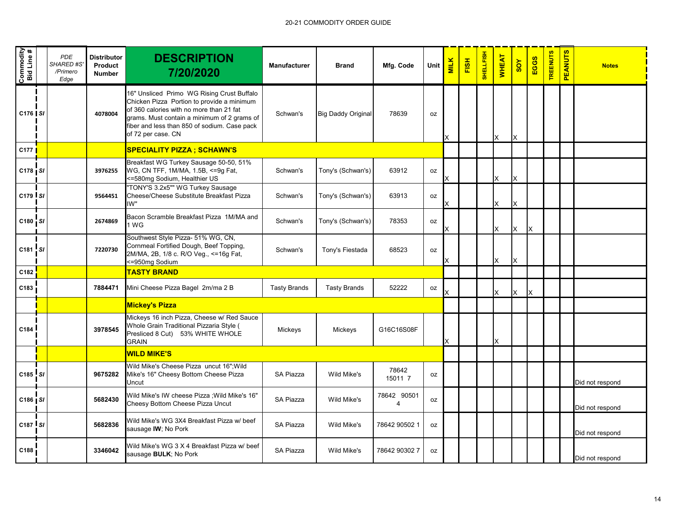| Commodity<br>Bid Line # | <b>PDE</b><br>SHARED #S<br>/Primero<br>Edge | <b>Distributor</b><br>Product<br><b>Number</b> | <b>DESCRIPTION</b><br>7/20/2020                                                                                                                                                                                                                           | <b>Manufacturer</b> | <b>Brand</b>              | Mfg. Code        | Unit      | <b>MILK</b> | FISH | <b>SHELLFISH</b> | <b>WHEAT</b> | <b>SOY</b> | EGGS | <b>TREENUTS</b> | <b>PEANUTS</b> | <b>Notes</b>    |
|-------------------------|---------------------------------------------|------------------------------------------------|-----------------------------------------------------------------------------------------------------------------------------------------------------------------------------------------------------------------------------------------------------------|---------------------|---------------------------|------------------|-----------|-------------|------|------------------|--------------|------------|------|-----------------|----------------|-----------------|
| C176 SI                 |                                             | 4078004                                        | 16" Unsliced Primo WG Rising Crust Buffalo<br>Chicken Pizza Portion to provide a minimum<br>of 360 calories with no more than 21 fat<br>grams. Must contain a minimum of 2 grams of<br>fiber and less than 850 of sodium. Case pack<br>of 72 per case. CN | Schwan's            | <b>Big Daddy Original</b> | 78639            | 0Z        | X           |      |                  | X            | X          |      |                 |                |                 |
| C <sub>177</sub>        |                                             |                                                | <b>SPECIALITY PIZZA; SCHAWN'S</b>                                                                                                                                                                                                                         |                     |                           |                  |           |             |      |                  |              |            |      |                 |                |                 |
| $C178$ SI               |                                             | 3976255                                        | Breakfast WG Turkey Sausage 50-50, 51%<br>WG, CN TFF, 1M/MA, 1.5B, <= 9g Fat,<br><=580mg Sodium, Healthier US                                                                                                                                             | Schwan's            | Tony's (Schwan's)         | 63912            | oz        |             |      |                  | X            |            |      |                 |                |                 |
| C179 SI                 |                                             | 9564451                                        | "TONY'S 3.2x5"" WG Turkey Sausage<br>Cheese/Cheese Substitute Breakfast Pizza<br>IW"                                                                                                                                                                      | Schwan's            | Tony's (Schwan's)         | 63913            | 0Z        |             |      |                  | X            | X          |      |                 |                |                 |
| C180 SI                 |                                             | 2674869                                        | Bacon Scramble Breakfast Pizza 1M/MA and<br>1 WG                                                                                                                                                                                                          | Schwan's            | Tony's (Schwan's)         | 78353            | 0Z        |             |      |                  | X            | X          | X    |                 |                |                 |
| C181 SI                 |                                             | 7220730                                        | Southwest Style Pizza- 51% WG, CN,<br>Cornmeal Fortified Dough, Beef Topping,<br>2M/MA, 2B, 1/8 c. R/O Veg., <= 16g Fat,<br><=950mg Sodium                                                                                                                | Schwan's            | Tony's Fiestada           | 68523            | oz        |             |      |                  | X            | X          |      |                 |                |                 |
| C182                    |                                             |                                                | <b>TASTY BRAND</b>                                                                                                                                                                                                                                        |                     |                           |                  |           |             |      |                  |              |            |      |                 |                |                 |
| C183                    |                                             | 7884471                                        | Mini Cheese Pizza Bagel 2m/ma 2 B                                                                                                                                                                                                                         | <b>Tasty Brands</b> | <b>Tasty Brands</b>       | 52222            | oz        |             |      |                  | X            | X          | X    |                 |                |                 |
|                         |                                             |                                                | <b>Mickey's Pizza</b>                                                                                                                                                                                                                                     |                     |                           |                  |           |             |      |                  |              |            |      |                 |                |                 |
| C <sub>184</sub>        |                                             | 3978545                                        | Mickeys 16 inch Pizza, Cheese w/ Red Sauce<br>Whole Grain Traditional Pizzaria Style (<br>Presliced 8 Cut) 53% WHITE WHOLE<br><b>GRAIN</b>                                                                                                                | Mickeys             | Mickeys                   | G16C16S08F       |           | X           |      |                  | X            |            |      |                 |                |                 |
|                         |                                             |                                                | <b>WILD MIKE'S</b>                                                                                                                                                                                                                                        |                     |                           |                  |           |             |      |                  |              |            |      |                 |                |                 |
| $C185$ SI               |                                             | 9675282                                        | Wild Mike's Cheese Pizza uncut 16"; Wild<br>Mike's 16" Cheesy Bottom Cheese Pizza<br>Uncut                                                                                                                                                                | SA Piazza           | Wild Mike's               | 78642<br>15011 7 | 0Z        |             |      |                  |              |            |      |                 |                | Did not respond |
| $C186$ $S1$             |                                             | 5682430                                        | Wild Mike's IW cheese Pizza ; Wild Mike's 16"<br>Cheesy Bottom Cheese Pizza Uncut                                                                                                                                                                         | SA Piazza           | Wild Mike's               | 78642 90501<br>4 | 0Z        |             |      |                  |              |            |      |                 |                | Did not respond |
| C187 SI                 |                                             | 5682836                                        | Wild Mike's WG 3X4 Breakfast Pizza w/ beef<br>sausage IW; No Pork                                                                                                                                                                                         | SA Piazza           | Wild Mike's               | 78642 90502 1    | 0Z        |             |      |                  |              |            |      |                 |                | Did not respond |
| C188                    |                                             | 3346042                                        | Wild Mike's WG 3 X 4 Breakfast Pizza w/ beef<br>sausage BULK; No Pork                                                                                                                                                                                     | SA Piazza           | Wild Mike's               | 78642 90302 7    | <b>OZ</b> |             |      |                  |              |            |      |                 |                | Did not respond |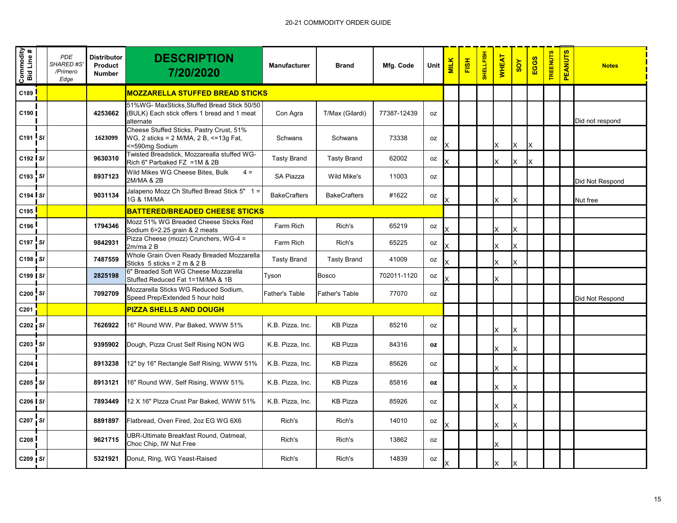| Commodity<br>Bid Line # |    | <b>PDE</b><br><b>SHARED #S</b><br>/Primero<br>Edge | <b>Distributor</b><br>Product<br><b>Number</b> | <b>DESCRIPTION</b><br>7/20/2020                                                                         | <b>Manufacturer</b>   | <b>Brand</b>          | Mfg. Code   | Unit      | <b>MILK</b> | FISH | <b>SHELLFISH</b> | <b>WHEAT</b> | SOY | EGGS | <b>TREENUTS</b> | <b>PEANUTS</b> | <b>Notes</b>    |
|-------------------------|----|----------------------------------------------------|------------------------------------------------|---------------------------------------------------------------------------------------------------------|-----------------------|-----------------------|-------------|-----------|-------------|------|------------------|--------------|-----|------|-----------------|----------------|-----------------|
| C189                    |    |                                                    |                                                | <b>MOZZARELLA STUFFED BREAD STICKS</b>                                                                  |                       |                       |             |           |             |      |                  |              |     |      |                 |                |                 |
| C190                    |    |                                                    | 4253662                                        | 51%WG- MaxSticks, Stuffed Bread Stick 50/50<br>(BULK) Each stick offers 1 bread and 1 meat<br>alternate | Con Agra              | T/Max (Gilardi)       | 77387-12439 | oz        |             |      |                  |              |     |      |                 |                | Did not respond |
| C191 SI                 |    |                                                    | 1623099                                        | Cheese Stuffed Sticks, Pastry Crust, 51%<br>WG, 2 sticks = 2 M/MA, 2 B, <= 13g Fat,<br><=590mg Sodium   | Schwans               | Schwans               | 73338       | 0Z        |             |      |                  | X            | X   | ΙX   |                 |                |                 |
| $C192$ $S1$             |    |                                                    | 9630310                                        | Twisted Breadstick, Mozzarealla stuffed WG-<br>Rich 6" Parbaked FZ = 1M & 2B                            | <b>Tasty Brand</b>    | <b>Tasty Brand</b>    | 62002       | oz        |             |      |                  | X            | X   | ΙX   |                 |                |                 |
| C193 SI                 |    |                                                    | 8937123                                        | Wild Mikes WG Cheese Bites, Bulk<br>$4 =$<br>2M/MA & 2B                                                 | SA Piazza             | Wild Mike's           | 11003       | oz        |             |      |                  |              |     |      |                 |                | Did Not Respond |
| C194 SI                 |    |                                                    | 9031134                                        | Jalapeno Mozz Ch Stuffed Bread Stick 5" 1 =<br>1G & 1M/MA                                               | <b>BakeCrafters</b>   | <b>BakeCrafters</b>   | #1622       | oz        | Χ           |      |                  | X            | X   |      |                 |                | Nut free        |
| C195                    |    |                                                    |                                                | <b>BATTERED/BREADED CHEESE STICKS</b>                                                                   |                       |                       |             |           |             |      |                  |              |     |      |                 |                |                 |
| C196                    |    |                                                    | 1794346                                        | Mozz 51% WG Breaded Cheese Sticks Red<br>Sodium 6=2.25 grain & 2 meats                                  | Farm Rich             | Rich's                | 65219       | oz        | x           |      |                  | X            | X   |      |                 |                |                 |
| C197                    | SI |                                                    | 9842931                                        | Pizza Cheese (mozz) Crunchers, WG-4 =<br>2m/ma 2B                                                       | Farm Rich             | Rich's                | 65225       | 0Z        | x           |      |                  | X            | X   |      |                 |                |                 |
| C198   SI               |    |                                                    | 7487559                                        | Whole Grain Oven Ready Breaded Mozzarella<br>Sticks $5$ sticks = $2 \text{ m } 8$ $2 \text{ B}$         | <b>Tasty Brand</b>    | <b>Tasty Brand</b>    | 41009       | 0Z        |             |      |                  | X            | X   |      |                 |                |                 |
| $C199$ $S1$             |    |                                                    | 2825198                                        | 6" Breaded Soft WG Cheese Mozzarella<br>Stuffed Reduced Fat 1=1M/MA & 1B                                | Tyson                 | <b>Bosco</b>          | 702011-1120 | oz        |             |      |                  | X            |     |      |                 |                |                 |
| C200 SI                 |    |                                                    | 7092709                                        | Mozzarella Sticks WG Reduced Sodium,<br>Speed Prep/Extended 5 hour hold                                 | <b>Father's Table</b> | <b>Father's Table</b> | 77070       | 0Z        |             |      |                  |              |     |      |                 |                | Did Not Respond |
| C201                    |    |                                                    |                                                | <b>PIZZA SHELLS AND DOUGH</b>                                                                           |                       |                       |             |           |             |      |                  |              |     |      |                 |                |                 |
| C202 SI                 |    |                                                    | 7626922                                        | 16" Round WW, Par Baked, WWW 51%                                                                        | K.B. Pizza, Inc.      | <b>KB Pizza</b>       | 85216       | oz        |             |      |                  | Χ            | X   |      |                 |                |                 |
| C203 SI                 |    |                                                    | 9395902                                        | Dough, Pizza Crust Self Rising NON WG                                                                   | K.B. Pizza, Inc.      | <b>KB Pizza</b>       | 84316       | oz        |             |      |                  | X            |     |      |                 |                |                 |
| C <sub>204</sub>        |    |                                                    | 8913238                                        | 12" by 16" Rectangle Self Rising, WWW 51%                                                               | K.B. Pizza, Inc.      | <b>KB Pizza</b>       | 85626       | 0Z        |             |      |                  | X            | X   |      |                 |                |                 |
| C205 SI                 |    |                                                    | 8913121                                        | 16" Round WW, Self Rising, WWW 51%                                                                      | K.B. Pizza, Inc.      | <b>KB Pizza</b>       | 85816       | <b>OZ</b> |             |      |                  | Χ            | X   |      |                 |                |                 |
| $C206$ $S1$             |    |                                                    | 7893449                                        | 12 X 16" Pizza Crust Par Baked, WWW 51%                                                                 | K.B. Pizza, Inc.      | <b>KB Pizza</b>       | 85926       | oz        |             |      |                  | X            | X   |      |                 |                |                 |
| C207 SI                 |    |                                                    | 8891897                                        | Flatbread, Oven Fired, 2oz EG WG 6X6                                                                    | Rich's                | Rich's                | 14010       | oz        | Χ           |      |                  | X            | X   |      |                 |                |                 |
| C208                    |    |                                                    | 9621715                                        | <b>JBR-Ultimate Breakfast Round, Oatmeal,</b><br>Choc Chip, IW Nut Free                                 | Rich's                | Rich's                | 13862       | 0Z        |             |      |                  | X            |     |      |                 |                |                 |
| $C209$   SI             |    |                                                    | 5321921                                        | Donut, Ring, WG Yeast-Raised                                                                            | Rich's                | Rich's                | 14839       | oz        | x           |      |                  | X            | х   |      |                 |                |                 |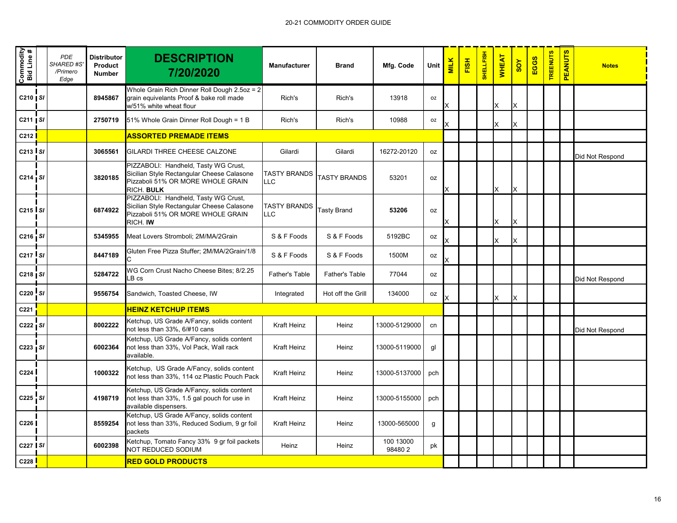| Commodity<br>Bid Line #       | <b>PDE</b><br><b>SHARED #S</b><br>/Primero<br>Edge | <b>Distributor</b><br>Product<br><b>Number</b> | <b>DESCRIPTION</b><br>7/20/2020                                                                                                       | Manufacturer                      | <b>Brand</b>        | Mfg. Code           | Unit      | <b>MILK</b> | FISH | <b>SHELLFISH</b> | <b>WHEAT</b> | $rac{\lambda}{\alpha}$ | EGGS | <b>TREENUTS</b> | <b>PEANUTS</b> | <b>Notes</b>    |
|-------------------------------|----------------------------------------------------|------------------------------------------------|---------------------------------------------------------------------------------------------------------------------------------------|-----------------------------------|---------------------|---------------------|-----------|-------------|------|------------------|--------------|------------------------|------|-----------------|----------------|-----------------|
| C210   SI                     |                                                    | 8945867                                        | Whole Grain Rich Dinner Roll Dough 2.5oz = 2<br>grain equivelants Proof & bake roll made<br>w/51% white wheat flour                   | Rich's                            | Rich's              | 13918               | <b>OZ</b> |             |      |                  |              | X                      |      |                 |                |                 |
| $C211$   SI                   |                                                    | 2750719                                        | 51% Whole Grain Dinner Roll Dough = 1 B                                                                                               | Rich's                            | Rich's              | 10988               | <b>OZ</b> |             |      |                  |              | X                      |      |                 |                |                 |
| C <sub>212</sub>              |                                                    |                                                | <b>ASSORTED PREMADE ITEMS</b>                                                                                                         |                                   |                     |                     |           |             |      |                  |              |                        |      |                 |                |                 |
| C <sub>213</sub> SI           |                                                    | 3065561                                        | GILARDI THREE CHEESE CALZONE                                                                                                          | Gilardi                           | Gilardi             | 16272-20120         | <b>OZ</b> |             |      |                  |              |                        |      |                 |                | Did Not Respond |
| C214 SI                       |                                                    | 3820185                                        | PIZZABOLI: Handheld, Tasty WG Crust,<br>Sicilian Style Rectangular Cheese Calasone<br>Pizzaboli 51% OR MORE WHOLE GRAIN<br>RICH. BULK | <b>TASTY BRANDS</b><br><b>LLC</b> | <b>TASTY BRANDS</b> | 53201               | oz        | X           |      |                  | X            | X                      |      |                 |                |                 |
| C <sub>215</sub> $\mathsf{S}$ |                                                    | 6874922                                        | PIZZABOLI: Handheld, Tasty WG Crust,<br>Sicilian Style Rectangular Cheese Calasone<br>Pizzaboli 51% OR MORE WHOLE GRAIN<br>RICH. IW   | <b>TASTY BRANDS</b><br>LLC        | <b>Tasty Brand</b>  | 53206               | oz        |             |      |                  |              | ΙX                     |      |                 |                |                 |
| $C216$ $S1$                   |                                                    | 5345955                                        | Meat Lovers Stromboli; 2M/MA/2Grain                                                                                                   | S & F Foods                       | S & F Foods         | 5192BC              | <b>OZ</b> |             |      |                  |              | X                      |      |                 |                |                 |
| $C217$ $S1$                   |                                                    | 8447189                                        | Gluten Free Pizza Stuffer; 2M/MA/2Grain/1/8                                                                                           | S & F Foods                       | S & F Foods         | 1500M               | oz        | x           |      |                  |              |                        |      |                 |                |                 |
| $C218$   SI                   |                                                    | 5284722                                        | WG Corn Crust Nacho Cheese Bites; 8/2.25<br>$LB \ cs$                                                                                 | Father's Table                    | Father's Table      | 77044               | oz        |             |      |                  |              |                        |      |                 |                | Did Not Respond |
| C220 SI                       |                                                    | 9556754                                        | Sandwich, Toasted Cheese, IW                                                                                                          | Integrated                        | Hot off the Grill   | 134000              | oz        |             |      |                  |              |                        |      |                 |                |                 |
| C221                          |                                                    |                                                | <b>HEINZ KETCHUP ITEMS</b>                                                                                                            |                                   |                     |                     |           |             |      |                  |              |                        |      |                 |                |                 |
| C222 SI                       |                                                    | 8002222                                        | Ketchup, US Grade A/Fancy, solids content<br>not less than 33%, 6/#10 cans                                                            | Kraft Heinz                       | Heinz               | 13000-5129000       | cn        |             |      |                  |              |                        |      |                 |                | Did Not Respond |
| $C223$ $S1$                   |                                                    | 6002364                                        | Ketchup, US Grade A/Fancy, solids content<br>not less than 33%, Vol Pack, Wall rack<br>available.                                     | Kraft Heinz                       | Heinz               | 13000-5119000       | gl        |             |      |                  |              |                        |      |                 |                |                 |
| C <sub>224</sub>              |                                                    | 1000322                                        | Ketchup, US Grade A/Fancy, solids content<br>not less than 33%, 114 oz Plastic Pouch Pack                                             | Kraft Heinz                       | Heinz               | 13000-5137000       | pch       |             |      |                  |              |                        |      |                 |                |                 |
| C225 SI                       |                                                    | 4198719                                        | Ketchup, US Grade A/Fancy, solids content<br>not less than 33%, 1.5 gal pouch for use in<br>available dispensers.                     | Kraft Heinz                       | Heinz               | 13000-5155000       | pch       |             |      |                  |              |                        |      |                 |                |                 |
| C226                          |                                                    | 8559254                                        | Ketchup, US Grade A/Fancy, solids content<br>not less than 33%, Reduced Sodium, 9 gr foil<br>packets                                  | Kraft Heinz                       | Heinz               | 13000-565000        | g         |             |      |                  |              |                        |      |                 |                |                 |
| $C227$ SI                     |                                                    | 6002398                                        | Ketchup, Tomato Fancy 33% 9 gr foil packets<br>NOT REDUCED SODIUM                                                                     | Heinz                             | Heinz               | 100 13000<br>984802 | pk        |             |      |                  |              |                        |      |                 |                |                 |
| C228                          |                                                    |                                                | <b>RED GOLD PRODUCTS</b>                                                                                                              |                                   |                     |                     |           |             |      |                  |              |                        |      |                 |                |                 |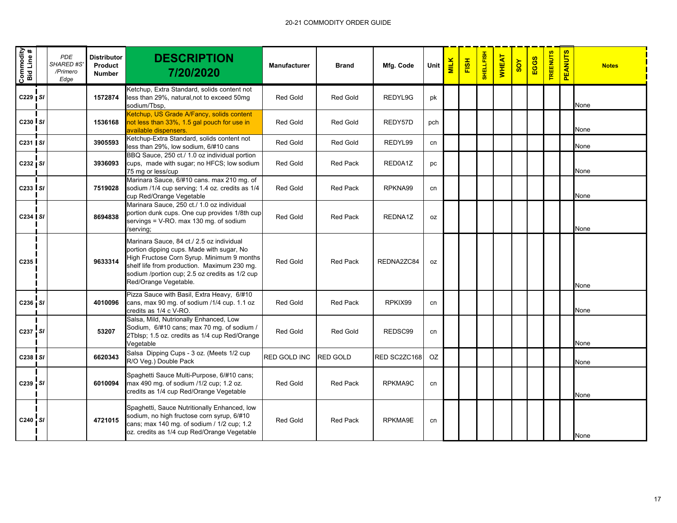| Commodity<br>Bid Line # | <b>PDE</b><br><b>SHARED#S</b><br>/Primero<br>Edge | <b>Distributor</b><br>Product<br><b>Number</b> | <b>DESCRIPTION</b><br>7/20/2020                                                                                                                                                                                                                                | <b>Manufacturer</b> | <b>Brand</b>    | Mfg. Code    | Unit | <b>MILK</b> | FISH | SHELLFISH | <b>WHEAT</b> | 80Y | EGGS | <b>TREENUTS</b> | <b>PEANUTS</b> | <b>Notes</b> |
|-------------------------|---------------------------------------------------|------------------------------------------------|----------------------------------------------------------------------------------------------------------------------------------------------------------------------------------------------------------------------------------------------------------------|---------------------|-----------------|--------------|------|-------------|------|-----------|--------------|-----|------|-----------------|----------------|--------------|
| C229   SI               |                                                   | 1572874                                        | Ketchup, Extra Standard, solids content not<br>less than 29%, natural,not to exceed 50mg<br>sodium/Tbsp,                                                                                                                                                       | Red Gold            | <b>Red Gold</b> | REDYL9G      | pk   |             |      |           |              |     |      |                 |                | None         |
| C230 S/                 |                                                   | 1536168                                        | Ketchup, US Grade A/Fancy, solids content<br>not less than 33%, 1.5 gal pouch for use in<br>available dispensers.                                                                                                                                              | <b>Red Gold</b>     | <b>Red Gold</b> | REDY57D      | pch  |             |      |           |              |     |      |                 |                | None         |
| C231   SI               |                                                   | 3905593                                        | Ketchup-Extra Standard, solids content not<br>less than 29%, low sodium, 6/#10 cans                                                                                                                                                                            | Red Gold            | <b>Red Gold</b> | REDYL99      | cn   |             |      |           |              |     |      |                 |                | None         |
| $C232$ $S1$             |                                                   | 3936093                                        | BBQ Sauce, 250 ct./ 1.0 oz individual portion<br>cups, made with sugar; no HFCS; low sodium<br>75 mg or less/cup                                                                                                                                               | <b>Red Gold</b>     | <b>Red Pack</b> | RED0A1Z      | pc   |             |      |           |              |     |      |                 |                | None         |
| $C233$ $SI$             |                                                   | 7519028                                        | Marinara Sauce, 6/#10 cans. max 210 mg. of<br>sodium /1/4 cup serving; 1.4 oz. credits as 1/4<br>cup Red/Orange Vegetable                                                                                                                                      | <b>Red Gold</b>     | <b>Red Pack</b> | RPKNA99      | cn   |             |      |           |              |     |      |                 |                | None         |
| C234 SI                 |                                                   | 8694838                                        | Marinara Sauce, 250 ct./ 1.0 oz individual<br>portion dunk cups. One cup provides 1/8th cup<br>servings = V-RO. max 130 mg. of sodium<br>/serving;                                                                                                             | <b>Red Gold</b>     | <b>Red Pack</b> | REDNA1Z      | 0Z   |             |      |           |              |     |      |                 |                | None         |
| C <sub>235</sub>        |                                                   | 9633314                                        | Marinara Sauce, 84 ct./ 2.5 oz individual<br>portion dipping cups. Made with sugar, No<br>High Fructose Corn Syrup. Minimum 9 months<br>shelf life from production. Maximum 230 mg.<br>sodium /portion cup; 2.5 oz credits as 1/2 cup<br>Red/Orange Vegetable. | <b>Red Gold</b>     | <b>Red Pack</b> | REDNA2ZC84   | 0Z   |             |      |           |              |     |      |                 |                | None         |
| C236 SI                 |                                                   | 4010096                                        | Pizza Sauce with Basil, Extra Heavy, 6/#10<br>cans, max 90 mg. of sodium /1/4 cup. 1.1 oz<br>credits as 1/4 c V-RO.                                                                                                                                            | Red Gold            | <b>Red Pack</b> | RPKIX99      | cn   |             |      |           |              |     |      |                 |                | None         |
| C237 SI                 |                                                   | 53207                                          | Salsa, Mild, Nutrionally Enhanced, Low<br>Sodium, 6/#10 cans; max 70 mg. of sodium /<br>2Tblsp; 1.5 oz. credits as 1/4 cup Red/Orange<br>Vegetable                                                                                                             | <b>Red Gold</b>     | <b>Red Gold</b> | REDSC99      | cn   |             |      |           |              |     |      |                 |                | None         |
| C238 SI                 |                                                   | 6620343                                        | Salsa Dipping Cups - 3 oz. (Meets 1/2 cup<br>R/O Veg.) Double Pack                                                                                                                                                                                             | RED GOLD INC        | <b>RED GOLD</b> | RED SC2ZC168 | OZ   |             |      |           |              |     |      |                 |                | None         |
| C239 SI                 |                                                   | 6010094                                        | Spaghetti Sauce Multi-Purpose, 6/#10 cans;<br>max 490 mg. of sodium /1/2 cup; 1.2 oz.<br>credits as 1/4 cup Red/Orange Vegetable                                                                                                                               | <b>Red Gold</b>     | <b>Red Pack</b> | RPKMA9C      | cn   |             |      |           |              |     |      |                 |                | None         |
| C240 SI                 |                                                   | 4721015                                        | Spaghetti, Sauce Nutritionally Enhanced, low<br>sodium, no high fructose corn syrup, 6/#10<br>cans; max 140 mg. of sodium / 1/2 cup; 1.2<br>oz. credits as 1/4 cup Red/Orange Vegetable                                                                        | <b>Red Gold</b>     | <b>Red Pack</b> | RPKMA9E      | cn   |             |      |           |              |     |      |                 |                | None         |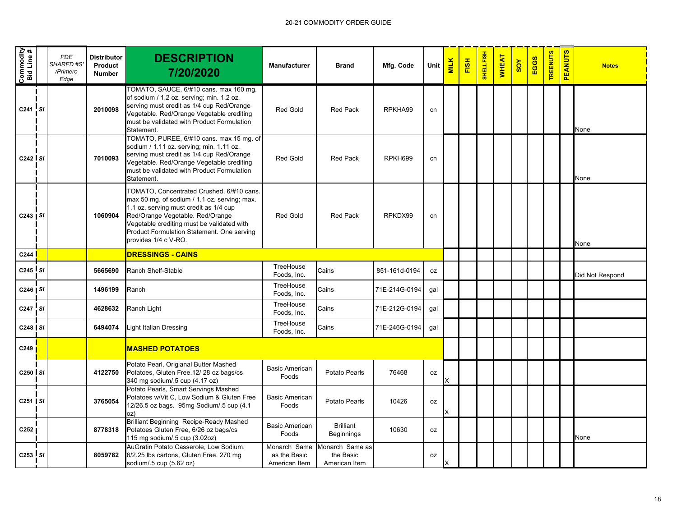| Commodity<br>Bid Line # | <b>PDE</b><br>SHARED #S<br>/Primero<br>Edge | <b>Distributor</b><br>Product<br><b>Number</b> | <b>DESCRIPTION</b><br>7/20/2020                                                                                                                                                                                                                                                             | <b>Manufacturer</b>                           | <b>Brand</b>                                  | Mfg. Code     | <b>Unit</b> | <b>MILK</b> | FISH | SHELLFISH | <b>WHEAT</b> | <b>SOY</b> | EGGS | <b>TREENUTS</b> | <b>PEANUTS</b> | <b>Notes</b>    |
|-------------------------|---------------------------------------------|------------------------------------------------|---------------------------------------------------------------------------------------------------------------------------------------------------------------------------------------------------------------------------------------------------------------------------------------------|-----------------------------------------------|-----------------------------------------------|---------------|-------------|-------------|------|-----------|--------------|------------|------|-----------------|----------------|-----------------|
| $C241$ SI               |                                             | 2010098                                        | TOMATO, SAUCE, 6/#10 cans. max 160 mg.<br>of sodium / 1.2 oz. serving; min. 1.2 oz.<br>serving must credit as 1/4 cup Red/Orange<br>Vegetable. Red/Orange Vegetable crediting<br>must be validated with Product Formulation<br>Statement.                                                   | <b>Red Gold</b>                               | <b>Red Pack</b>                               | RPKHA99       | cn          |             |      |           |              |            |      |                 |                | None            |
| $C242$ $S1$             |                                             | 7010093                                        | TOMATO, PUREE, 6/#10 cans. max 15 mg. of<br>sodium / 1.11 oz. serving; min. 1.11 oz.<br>serving must credit as 1/4 cup Red/Orange<br>Vegetable. Red/Orange Vegetable crediting<br>must be validated with Product Formulation<br>Statement.                                                  | <b>Red Gold</b>                               | <b>Red Pack</b>                               | RPKH699       | cn          |             |      |           |              |            |      |                 |                | None            |
| $C243$   SI             |                                             | 1060904                                        | TOMATO, Concentrated Crushed, 6/#10 cans.<br>max 50 mg. of sodium / 1.1 oz. serving; max.<br>1.1 oz. serving must credit as 1/4 cup<br>Red/Orange Vegetable. Red/Orange<br>Vegetable crediting must be validated with<br>Product Formulation Statement. One serving<br>provides 1/4 c V-RO. | <b>Red Gold</b>                               | <b>Red Pack</b>                               | RPKDX99       | cn          |             |      |           |              |            |      |                 |                | None            |
| C244                    |                                             |                                                | <b>DRESSINGS - CAINS</b>                                                                                                                                                                                                                                                                    |                                               |                                               |               |             |             |      |           |              |            |      |                 |                |                 |
| C245 SI                 |                                             | 5665690                                        | Ranch Shelf-Stable                                                                                                                                                                                                                                                                          | TreeHouse<br>Foods, Inc.                      | Cains                                         | 851-161d-0194 | <b>OZ</b>   |             |      |           |              |            |      |                 |                | Did Not Respond |
| C246 SI                 |                                             | 1496199                                        | Ranch                                                                                                                                                                                                                                                                                       | TreeHouse<br>Foods, Inc.                      | Cains                                         | 71E-214G-0194 | gal         |             |      |           |              |            |      |                 |                |                 |
| $C247$ SI               |                                             | 4628632                                        | Ranch Light                                                                                                                                                                                                                                                                                 | TreeHouse<br>Foods, Inc.                      | Cains                                         | 71E-212G-0194 | gal         |             |      |           |              |            |      |                 |                |                 |
| $C248$ $S1$             |                                             | 6494074                                        | Light Italian Dressing                                                                                                                                                                                                                                                                      | TreeHouse<br>Foods, Inc.                      | Cains                                         | 71E-246G-0194 | qal         |             |      |           |              |            |      |                 |                |                 |
| C249                    |                                             |                                                | <b>MASHED POTATOES</b>                                                                                                                                                                                                                                                                      |                                               |                                               |               |             |             |      |           |              |            |      |                 |                |                 |
| C250 SI                 |                                             | 4122750                                        | Potato Pearl, Origianal Butter Mashed<br>Potatoes, Gluten Free. 12/ 28 oz bags/cs<br>340 mg sodium/.5 cup (4.17 oz)                                                                                                                                                                         | <b>Basic American</b><br>Foods                | Potato Pearls                                 | 76468         | oz          |             |      |           |              |            |      |                 |                |                 |
| C251 SI                 |                                             | 3765054                                        | Potato Pearls, Smart Servings Mashed<br>Potatoes w/Vit C, Low Sodium & Gluten Free<br>12/26.5 oz bags. 95mg Sodium/.5 cup (4.1)<br>oz)                                                                                                                                                      | <b>Basic American</b><br>Foods                | Potato Pearls                                 | 10426         | oz          |             |      |           |              |            |      |                 |                |                 |
| C <sub>252</sub>        |                                             | 8778318                                        | Brilliant Beginning Recipe-Ready Mashed<br>Potatoes Gluten Free, 6/26 oz bags/cs<br>115 mg sodium/.5 cup (3.02oz)                                                                                                                                                                           | <b>Basic American</b><br>Foods                | <b>Brilliant</b><br><b>Beginnings</b>         | 10630         | oz          |             |      |           |              |            |      |                 |                | None            |
| $C253$ SI               |                                             | 8059782                                        | AuGratin Potato Casserole, Low Sodium.<br>6/2.25 lbs cartons, Gluten Free. 270 mg<br>sodium/.5 cup (5.62 oz)                                                                                                                                                                                | Monarch Same<br>as the Basic<br>American Item | Monarch Same as<br>the Basic<br>American Item |               | 0Z          | X           |      |           |              |            |      |                 |                |                 |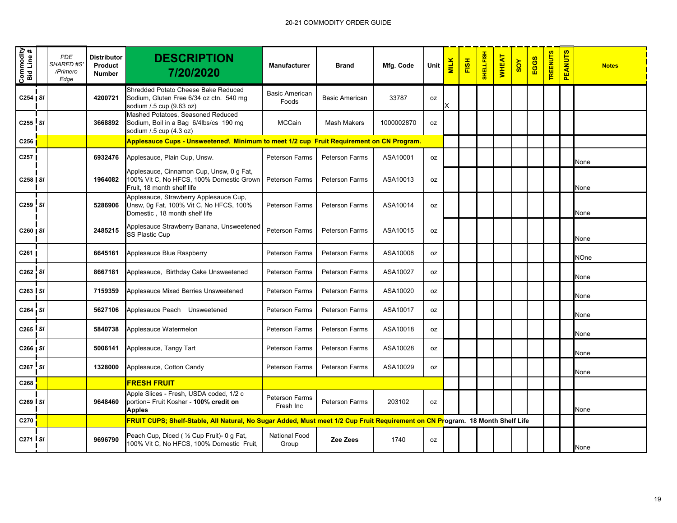| Commodity<br>Bid Line # | <b>PDE</b><br>SHARED #S<br>/Primero<br>Edge | <b>Distributor</b><br>Product<br><b>Number</b> | <b>DESCRIPTION</b><br>7/20/2020                                                                                               | <b>Manufacturer</b>                | <b>Brand</b>          | Mfg. Code  | Unit      | <b>MILK</b> | FISH | <b>SHELLFISH</b> | <b>WHEAT</b> | SOY | EGGS | <b>TREENUTS</b> | <b>PEANUTS</b> | <b>Notes</b> |
|-------------------------|---------------------------------------------|------------------------------------------------|-------------------------------------------------------------------------------------------------------------------------------|------------------------------------|-----------------------|------------|-----------|-------------|------|------------------|--------------|-----|------|-----------------|----------------|--------------|
| $C254$ SI               |                                             | 4200721                                        | Shredded Potato Cheese Bake Reduced<br>Sodium, Gluten Free 6/34 oz ctn. 540 mg<br>sodium / 5 cup (9.63 oz)                    | <b>Basic American</b><br>Foods     | <b>Basic American</b> | 33787      | 0Z        |             |      |                  |              |     |      |                 |                |              |
| $C255$ $SI$             |                                             | 3668892                                        | Mashed Potatoes, Seasoned Reduced<br>Sodium, Boil in a Bag 6/4lbs/cs 190 mg<br>sodium / 5 cup (4.3 oz)                        | <b>MCCain</b>                      | <b>Mash Makers</b>    | 1000002870 | <b>OZ</b> |             |      |                  |              |     |      |                 |                |              |
| C <sub>256</sub>        |                                             |                                                | Applesauce Cups - Unsweetened\ Minimum to meet 1/2 cup Fruit Requirement on CN Program.                                       |                                    |                       |            |           |             |      |                  |              |     |      |                 |                |              |
| C257                    |                                             | 6932476                                        | Applesauce, Plain Cup, Unsw.                                                                                                  | Peterson Farms                     | <b>Peterson Farms</b> | ASA10001   | oz        |             |      |                  |              |     |      |                 |                | None         |
| C258   SI               |                                             | 1964082                                        | Applesauce, Cinnamon Cup, Unsw, 0 g Fat,<br>100% Vit C, No HFCS, 100% Domestic Grown<br>Fruit. 18 month shelf life            | <b>Peterson Farms</b>              | <b>Peterson Farms</b> | ASA10013   | 0Z        |             |      |                  |              |     |      |                 |                | None         |
| C259 SI                 |                                             | 5286906                                        | Applesauce, Strawberry Applesauce Cup,<br>Unsw, 0g Fat, 100% Vit C, No HFCS, 100%<br>Domestic, 18 month shelf life            | <b>Peterson Farms</b>              | Peterson Farms        | ASA10014   | 0Z        |             |      |                  |              |     |      |                 |                | None         |
| C260   SI               |                                             | 2485215                                        | Applesauce Strawberry Banana, Unsweetened<br>SS Plastic Cup                                                                   | <b>Peterson Farms</b>              | <b>Peterson Farms</b> | ASA10015   | 0Z        |             |      |                  |              |     |      |                 |                | None         |
| C261                    |                                             | 6645161                                        | Applesauce Blue Raspberry                                                                                                     | <b>Peterson Farms</b>              | <b>Peterson Farms</b> | ASA10008   | 0Z        |             |      |                  |              |     |      |                 |                | <b>NOne</b>  |
| $C262$ SI               |                                             | 8667181                                        | Applesauce, Birthday Cake Unsweetened                                                                                         | <b>Peterson Farms</b>              | <b>Peterson Farms</b> | ASA10027   | 0Z        |             |      |                  |              |     |      |                 |                | None         |
| $C263$ $S1$             |                                             | 7159359                                        | Applesauce Mixed Berries Unsweetened                                                                                          | <b>Peterson Farms</b>              | <b>Peterson Farms</b> | ASA10020   | 0Z        |             |      |                  |              |     |      |                 |                | None         |
| C264 SI                 |                                             | 5627106                                        | Applesauce Peach Unsweetened                                                                                                  | <b>Peterson Farms</b>              | <b>Peterson Farms</b> | ASA10017   | 0Z        |             |      |                  |              |     |      |                 |                | None         |
| $C265$ $SI$             |                                             | 5840738                                        | Applesauce Watermelon                                                                                                         | <b>Peterson Farms</b>              | <b>Peterson Farms</b> | ASA10018   | 0Z        |             |      |                  |              |     |      |                 |                | None         |
| $C266$ $S1$             |                                             | 5006141                                        | Applesauce, Tangy Tart                                                                                                        | <b>Peterson Farms</b>              | <b>Peterson Farms</b> | ASA10028   | 0Z        |             |      |                  |              |     |      |                 |                | None         |
| C267 SI                 |                                             | 1328000                                        | Applesauce, Cotton Candy                                                                                                      | <b>Peterson Farms</b>              | <b>Peterson Farms</b> | ASA10029   | oz        |             |      |                  |              |     |      |                 |                | None         |
| C268                    |                                             |                                                | <b>FRESH FRUIT</b>                                                                                                            |                                    |                       |            |           |             |      |                  |              |     |      |                 |                |              |
| C269 SI                 |                                             | 9648460                                        | Apple Slices - Fresh, USDA coded, 1/2 c<br>portion= Fruit Kosher - 100% credit on<br><b>Apples</b>                            | <b>Peterson Farms</b><br>Fresh Inc | <b>Peterson Farms</b> | 203102     | <b>OZ</b> |             |      |                  |              |     |      |                 |                | None         |
| C270                    |                                             |                                                | FRUIT CUPS; Shelf-Stable, All Natural, No Sugar Added, Must meet 1/2 Cup Fruit Requirement on CN Program. 18 Month Shelf Life |                                    |                       |            |           |             |      |                  |              |     |      |                 |                |              |
| $C271$ I SI             |                                             | 9696790                                        | Peach Cup, Diced ( 1/2 Cup Fruit)- 0 g Fat,<br>100% Vit C, No HFCS, 100% Domestic Fruit,                                      | <b>National Food</b><br>Group      | Zee Zees              | 1740       | 0Z        |             |      |                  |              |     |      |                 |                | None         |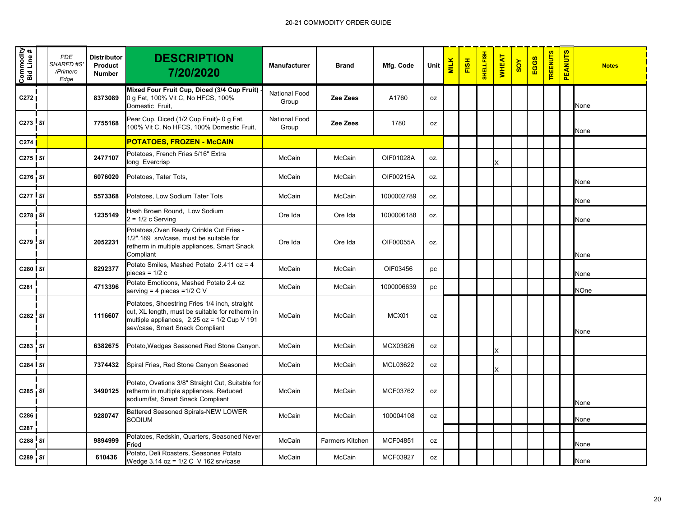| Commodity<br>Bid Line # | <b>PDE</b><br><b>SHARED #S</b><br>/Primero<br>Edge | <b>Distributor</b><br>Product<br><b>Number</b> | <b>DESCRIPTION</b><br>7/20/2020                                                                                                                                                     | <b>Manufacturer</b>           | <b>Brand</b>           | Mfg. Code  | Unit | <b>MILK</b> | FISH | <b>SHELLFISH</b> | <b>WHEAT</b> | SOY | EGGS | <b>TREENUTS</b> | <b>PEANUTS</b> | <b>Notes</b> |
|-------------------------|----------------------------------------------------|------------------------------------------------|-------------------------------------------------------------------------------------------------------------------------------------------------------------------------------------|-------------------------------|------------------------|------------|------|-------------|------|------------------|--------------|-----|------|-----------------|----------------|--------------|
| C272                    |                                                    | 8373089                                        | Mixed Four Fruit Cup, Diced (3/4 Cup Fruit) -<br>0 g Fat, 100% Vit C, No HFCS, 100%<br>Domestic Fruit,                                                                              | <b>National Food</b><br>Group | Zee Zees               | A1760      | oz   |             |      |                  |              |     |      |                 |                | None         |
| $C273$ SI               |                                                    | 7755168                                        | Pear Cup, Diced (1/2 Cup Fruit)- 0 g Fat,<br>100% Vit C, No HFCS, 100% Domestic Fruit,                                                                                              | <b>National Food</b><br>Group | Zee Zees               | 1780       | oz   |             |      |                  |              |     |      |                 |                | None         |
| C <sub>274</sub>        |                                                    |                                                | POTATOES, FROZEN - McCAIN                                                                                                                                                           |                               |                        |            |      |             |      |                  |              |     |      |                 |                |              |
| $C275$ SI               |                                                    | 2477107                                        | Potatoes, French Fries 5/16" Extra<br>long Evercrisp                                                                                                                                | McCain                        | McCain                 | OIF01028A  | OZ.  |             |      |                  | X            |     |      |                 |                |              |
| C276 SI                 |                                                    | 6076020                                        | Potatoes, Tater Tots,                                                                                                                                                               | McCain                        | McCain                 | OIF00215A  | OZ.  |             |      |                  |              |     |      |                 |                | None         |
| C <sub>277</sub> I SI   |                                                    | 5573368                                        | Potatoes, Low Sodium Tater Tots                                                                                                                                                     | McCain                        | McCain                 | 1000002789 | OZ.  |             |      |                  |              |     |      |                 |                | None         |
| $C278$ $S1$             |                                                    | 1235149                                        | Hash Brown Round, Low Sodium<br>$2 = 1/2$ c Serving                                                                                                                                 | Ore Ida                       | Ore Ida                | 1000006188 | OZ.  |             |      |                  |              |     |      |                 |                | None         |
| C279 SI                 |                                                    | 2052231                                        | Potatoes, Oven Ready Crinkle Cut Fries -<br>1/2".189 srv/case, must be suitable for<br>retherm in multiple appliances, Smart Snack<br>Compliant                                     | Ore Ida                       | Ore Ida                | OIF00055A  | OZ.  |             |      |                  |              |     |      |                 |                | None         |
| C280 SI                 |                                                    | 8292377                                        | Potato Smiles, Mashed Potato $2.411$ oz = 4<br>pieces = $1/2$ c                                                                                                                     | McCain                        | McCain                 | OIF03456   | pc   |             |      |                  |              |     |      |                 |                | None         |
| C281                    |                                                    | 4713396                                        | Potato Emoticons, Mashed Potato 2.4 oz<br>serving = 4 pieces =1/2 $C$ V                                                                                                             | McCain                        | McCain                 | 1000006639 | pc   |             |      |                  |              |     |      |                 |                | NOne         |
| C282 SI                 |                                                    | 1116607                                        | Potatoes, Shoestring Fries 1/4 inch, straight<br>cut, XL length, must be suitable for retherm in<br>multiple appliances, 2.25 oz = 1/2 Cup V 191<br>sev/case, Smart Snack Compliant | McCain                        | McCain                 | MCX01      | oz   |             |      |                  |              |     |      |                 |                | None         |
| C283 SI                 |                                                    | 6382675                                        | Potato, Wedges Seasoned Red Stone Canyon.                                                                                                                                           | McCain                        | McCain                 | MCX03626   | 0Z   |             |      |                  | Χ            |     |      |                 |                |              |
| C284 SI                 |                                                    | 7374432                                        | Spiral Fries, Red Stone Canyon Seasoned                                                                                                                                             | McCain                        | McCain                 | MCL03622   | 0Z   |             |      |                  |              |     |      |                 |                |              |
| $C285$ $S1$             |                                                    | 3490125                                        | Potato, Ovations 3/8" Straight Cut, Suitable for<br>retherm in multiple appliances. Reduced<br>sodium/fat, Smart Snack Compliant                                                    | McCain                        | McCain                 | MCF03762   | oz   |             |      |                  |              |     |      |                 |                | None         |
| C286                    |                                                    | 9280747                                        | Battered Seasoned Spirals-NEW LOWER<br>SODIUM                                                                                                                                       | McCain                        | McCain                 | 100004108  | oz   |             |      |                  |              |     |      |                 |                | None         |
| C287                    |                                                    |                                                |                                                                                                                                                                                     |                               |                        |            |      |             |      |                  |              |     |      |                 |                |              |
| C288 SI                 |                                                    | 9894999                                        | Potatoes, Redskin, Quarters, Seasoned Never<br>Fried                                                                                                                                | McCain                        | <b>Farmers Kitchen</b> | MCF04851   | oz   |             |      |                  |              |     |      |                 |                | None         |
| C289 SI                 |                                                    | 610436                                         | Potato, Deli Roasters, Seasones Potato<br>Wedge 3.14 oz = 1/2 C V 162 srv/case                                                                                                      | McCain                        | McCain                 | MCF03927   | 0Z   |             |      |                  |              |     |      |                 |                | None         |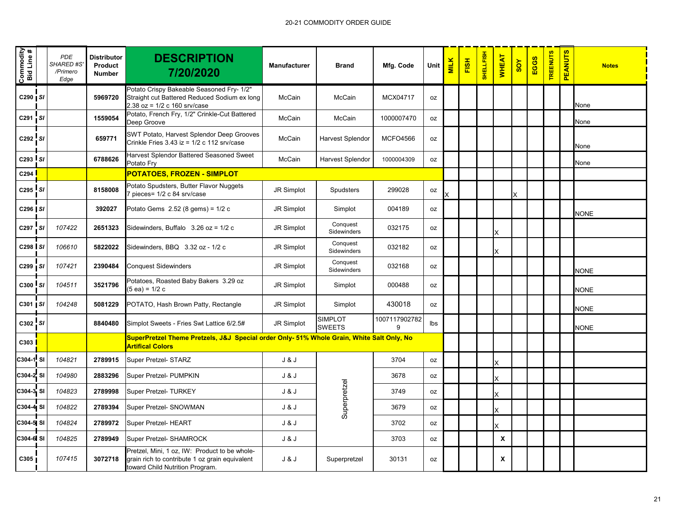| Commodity<br>Bid Line # | <b>PDE</b><br><b>SHARED #S</b><br>/Primero<br>Edge | <b>Distributor</b><br><b>Product</b><br><b>Number</b> | <b>DESCRIPTION</b><br>7/20/2020                                                                                                    | <b>Manufacturer</b> | <b>Brand</b>                    | Mfg. Code          | Unit      | <b>MILK</b> | FISH | <b>SHELLFISH</b> | <b>WHEAT</b>       | SOY | EGGS | <b>TREENUTS</b> | <b>PEANUTS</b> | <b>Notes</b> |
|-------------------------|----------------------------------------------------|-------------------------------------------------------|------------------------------------------------------------------------------------------------------------------------------------|---------------------|---------------------------------|--------------------|-----------|-------------|------|------------------|--------------------|-----|------|-----------------|----------------|--------------|
| C290 SI                 |                                                    | 5969720                                               | Potato Crispy Bakeable Seasoned Fry- 1/2"<br>Straight cut Battered Reduced Sodium ex long<br>$2.38$ oz = $1/2$ c 160 srv/case      | McCain              | McCain                          | MCX04717           | 0Z        |             |      |                  |                    |     |      |                 |                | None         |
| $C291$ $S1$             |                                                    | 1559054                                               | Potato, French Fry, 1/2" Crinkle-Cut Battered<br>Deep Groove                                                                       | McCain              | McCain                          | 1000007470         | oz        |             |      |                  |                    |     |      |                 |                | None         |
| $C292$ $SI$             |                                                    | 659771                                                | SWT Potato, Harvest Splendor Deep Grooves<br>Crinkle Fries 3.43 $iz = 1/2$ c 112 srv/case                                          | McCain              | Harvest Splendor                | <b>MCFO4566</b>    | 0Z        |             |      |                  |                    |     |      |                 |                | None         |
| $C293$ $SI$             |                                                    | 6788626                                               | Harvest Splendor Battered Seasoned Sweet<br>Potato Fry                                                                             | McCain              | Harvest Splendor                | 1000004309         | oz        |             |      |                  |                    |     |      |                 |                | None         |
| C294                    |                                                    |                                                       | <b>POTATOES, FROZEN - SIMPLOT</b>                                                                                                  |                     |                                 |                    |           |             |      |                  |                    |     |      |                 |                |              |
| $C295$ $SI$             |                                                    | 8158008                                               | Potato Spudsters, Butter Flavor Nuggets<br>pieces= 1/2 c 84 srv/case                                                               | JR Simplot          | Spudsters                       | 299028             | oz        |             |      |                  |                    |     |      |                 |                |              |
| C296   SI               |                                                    | 392027                                                | Potato Gems 2.52 (8 gems) = 1/2 c                                                                                                  | JR Simplot          | Simplot                         | 004189             | 0Z        |             |      |                  |                    |     |      |                 |                | <b>NONE</b>  |
| C297 SI                 | 107422                                             | 2651323                                               | Sidewinders, Buffalo $3.26$ oz = $1/2$ c                                                                                           | JR Simplot          | Conquest<br>Sidewinders         | 032175             | 0Z        |             |      |                  | X                  |     |      |                 |                |              |
| C <sub>298</sub> SI     | 106610                                             | 5822022                                               | Sidewinders, BBQ 3.32 oz - 1/2 c                                                                                                   | JR Simplot          | Conquest<br><b>Sidewinders</b>  | 032182             | oz        |             |      |                  | X                  |     |      |                 |                |              |
| C299 SI                 | 107421                                             | 2390484                                               | <b>Conquest Sidewinders</b>                                                                                                        | JR Simplot          | Conquest<br>Sidewinders         | 032168             | 0Z        |             |      |                  |                    |     |      |                 |                | <b>NONE</b>  |
| $C300$ $S1$             | 104511                                             | 3521796                                               | Potatoes, Roasted Baby Bakers 3.29 oz<br>$(5 ea) = 1/2 c$                                                                          | JR Simplot          | Simplot                         | 000488             | oz        |             |      |                  |                    |     |      |                 |                | <b>NONE</b>  |
| $C301$ $S1$             | 104248                                             | 5081229                                               | POTATO, Hash Brown Patty, Rectangle                                                                                                | JR Simplot          | Simplot                         | 430018             | oz        |             |      |                  |                    |     |      |                 |                | <b>NONE</b>  |
| C302 SI                 |                                                    | 8840480                                               | Simplot Sweets - Fries Swt Lattice 6/2.5#                                                                                          | JR Simplot          | <b>SIMPLOT</b><br><b>SWEETS</b> | 1007117902782<br>9 | lbs       |             |      |                  |                    |     |      |                 |                | <b>NONE</b>  |
| C303                    |                                                    |                                                       | SuperPretzel Theme Pretzels, J&J Special order Only- 51% Whole Grain, White Salt Only, No<br><b>Artifical Colors</b>               |                     |                                 |                    |           |             |      |                  |                    |     |      |                 |                |              |
| C304-1 SI               | 104821                                             | 2789915                                               | Super Pretzel- STARZ                                                                                                               | J & J               |                                 | 3704               | oz        |             |      |                  | X                  |     |      |                 |                |              |
| C304-2 SI               | 104980                                             | 2883296                                               | Super Pretzel- PUMPKIN                                                                                                             | J & J               |                                 | 3678               | 0Z        |             |      |                  | X                  |     |      |                 |                |              |
| C304-3 SI               | 104823                                             | 2789998                                               | Super Pretzel- TURKEY                                                                                                              | J & J               |                                 | 3749               | 0Z        |             |      |                  | X                  |     |      |                 |                |              |
| C304-4 SI               | 104822                                             | 2789394                                               | Super Pretzel- SNOWMAN                                                                                                             | J & J               | Superpretzel                    | 3679               | 0Z        |             |      |                  | X                  |     |      |                 |                |              |
| C304-5 SI               | 104824                                             | 2789972                                               | Super Pretzel- HEART                                                                                                               | J & J               |                                 | 3702               | 0Z        |             |      |                  | x                  |     |      |                 |                |              |
| C304-6 SI               | 104825                                             | 2789949                                               | Super Pretzel- SHAMROCK                                                                                                            | J & J               |                                 | 3703               | <b>OZ</b> |             |      |                  | $\pmb{\mathsf{x}}$ |     |      |                 |                |              |
| C305                    | 107415                                             | 3072718                                               | Pretzel, Mini, 1 oz, IW: Product to be whole-<br>grain rich to contribute 1 oz grain equivalent<br>toward Child Nutrition Program. | J & J               | Superpretzel                    | 30131              | oz        |             |      |                  | X                  |     |      |                 |                |              |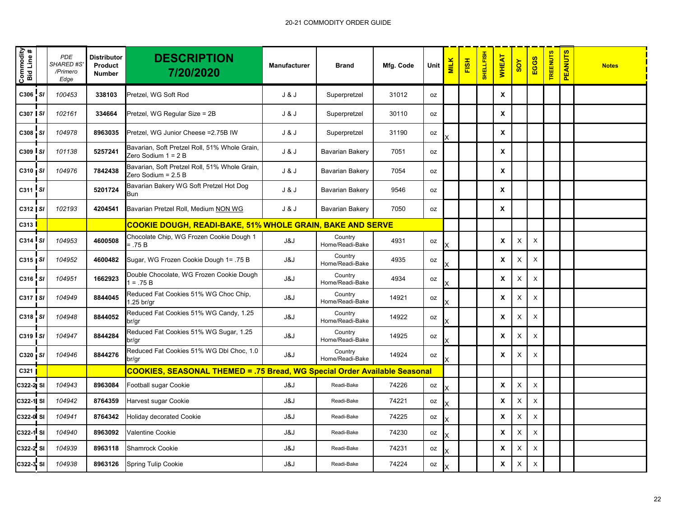| Commodity<br>Bid Line # | <b>PDE</b><br>SHARED #S<br>/Primero<br>Edge | Distributor<br>Product<br><b>Number</b> | <b>DESCRIPTION</b><br>7/20/2020                                                  | <b>Manufacturer</b> | <b>Brand</b>               | Mfg. Code | Unit | <b>MILK</b> | <b>FISH</b> | <b>SHELLFISH</b> | <b>WHEAT</b>              | SOY      | EGGS           | <b>TREENUTS</b> | <b>PEANUTS</b> | <b>Notes</b> |
|-------------------------|---------------------------------------------|-----------------------------------------|----------------------------------------------------------------------------------|---------------------|----------------------------|-----------|------|-------------|-------------|------------------|---------------------------|----------|----------------|-----------------|----------------|--------------|
| C306 SI                 | 100453                                      | 338103                                  | Pretzel, WG Soft Rod                                                             | J & J               | Superpretzel               | 31012     | oz   |             |             |                  | X                         |          |                |                 |                |              |
| C307 SI                 | 102161                                      | 334664                                  | Pretzel, WG Regular Size = 2B                                                    | J & J               | Superpretzel               | 30110     | 0Z   |             |             |                  | X                         |          |                |                 |                |              |
| C308 SI                 | 104978                                      | 8963035                                 | Pretzel, WG Junior Cheese = 2.75B IW                                             | J & J               | Superpretzel               | 31190     | oz   |             |             |                  | $\pmb{\mathsf{x}}$        |          |                |                 |                |              |
| C309 SI                 | 101138                                      | 5257241                                 | Bavarian, Soft Pretzel Roll, 51% Whole Grain,<br>Zero Sodium $1 = 2B$            | J & J               | Bavarian Bakery            | 7051      | oz   |             |             |                  | X                         |          |                |                 |                |              |
| $C310$ $S1$             | 104976                                      | 7842438                                 | Bavarian, Soft Pretzel Roll, 51% Whole Grain,<br>Zero Sodium = 2.5 B             | J & J               | <b>Bavarian Bakery</b>     | 7054      | 0Z   |             |             |                  | X                         |          |                |                 |                |              |
| C311 SI                 |                                             | 5201724                                 | Bavarian Bakery WG Soft Pretzel Hot Dog<br>Bun                                   | J & J               | <b>Bavarian Bakery</b>     | 9546      | 0Z   |             |             |                  | $\boldsymbol{\mathsf{x}}$ |          |                |                 |                |              |
| $C312$ $S1$             | 102193                                      | 4204541                                 | Bavarian Pretzel Roll, Medium NON WG                                             | J & J               | Bavarian Bakery            | 7050      | 0Z   |             |             |                  | $\boldsymbol{\mathsf{x}}$ |          |                |                 |                |              |
| C <sub>313</sub>        |                                             |                                         | <b>COOKIE DOUGH, READI-BAKE, 51% WHOLE GRAIN, BAKE AND SERVE</b>                 |                     |                            |           |      |             |             |                  |                           |          |                |                 |                |              |
| C314 SI                 | 104953                                      | 4600508                                 | Chocolate Chip, WG Frozen Cookie Dough 1<br>$=.75B$                              | J&J                 | Country<br>Home/Readi-Bake | 4931      | 0Z   | X           |             |                  | X                         | X        | $\pmb{\times}$ |                 |                |              |
| $C315$ $S1$             | 104952                                      | 4600482                                 | Sugar, WG Frozen Cookie Dough 1= .75 B                                           | J&J                 | Country<br>Home/Readi-Bake | 4935      | 0Z   |             |             |                  | X                         | X        | $\mathsf X$    |                 |                |              |
| C316 SI                 | 104951                                      | 1662923                                 | Double Chocolate, WG Frozen Cookie Dough<br>$1 = .75 B$                          | J&J                 | Country<br>Home/Readi-Bake | 4934      | oz   |             |             |                  | X                         | X        | X              |                 |                |              |
| C317   SI               | 104949                                      | 8844045                                 | Reduced Fat Cookies 51% WG Choc Chip,<br>$1.25$ br/gr                            | J&J                 | Country<br>Home/Readi-Bake | 14921     | 0Z   | X           |             |                  | $\boldsymbol{\mathsf{x}}$ | X        | $\pmb{\times}$ |                 |                |              |
| C318 SI                 | 104948                                      | 8844052                                 | Reduced Fat Cookies 51% WG Candy, 1.25<br>br/gr                                  | J&J                 | Country<br>Home/Readi-Bake | 14922     | 0Z   |             |             |                  | X                         | Χ        | $\pmb{\times}$ |                 |                |              |
| C319 SI                 | 104947                                      | 8844284                                 | Reduced Fat Cookies 51% WG Sugar, 1.25<br>br/gr                                  | J&J                 | Country<br>Home/Readi-Bake | 14925     | 0Z   |             |             |                  | X                         | X        | $\pmb{\times}$ |                 |                |              |
| C320   SI               | 104946                                      | 8844276                                 | Reduced Fat Cookies 51% WG Dbl Choc, 1.0<br>br/gr                                | J&J                 | Country<br>Home/Readi-Bake | 14924     | 0Z   | X           |             |                  | X                         | X        | $\pmb{\times}$ |                 |                |              |
| C321                    |                                             |                                         | <b>COOKIES, SEASONAL THEMED = .75 Bread, WG Special Order Available Seasonal</b> |                     |                            |           |      |             |             |                  |                           |          |                |                 |                |              |
| C322-2 SI               | 104943                                      | 8963084                                 | Football sugar Cookie                                                            | J&J                 | Readi-Bake                 | 74226     | oz   | X           |             |                  | $\boldsymbol{\mathsf{x}}$ | Χ        | $\pmb{\times}$ |                 |                |              |
| C322-1 SI               | 104942                                      | 8764359                                 | Harvest sugar Cookie                                                             | J&J                 | Readi-Bake                 | 74221     | 0Z   |             |             |                  | $\boldsymbol{\mathsf{x}}$ | $\times$ | $\pmb{\times}$ |                 |                |              |
| C322-0 SI               | 104941                                      | 8764342                                 | <b>Holiday decorated Cookie</b>                                                  | J&J                 | Readi-Bake                 | 74225     | 0Z   |             |             |                  | X                         | X        | $\mathsf X$    |                 |                |              |
| C322-1 SI               | 104940                                      | 8963092                                 | Valentine Cookie                                                                 | J&J                 | Readi-Bake                 | 74230     | oz   |             |             |                  | $\boldsymbol{\mathsf{x}}$ | $\times$ | $\pmb{\times}$ |                 |                |              |
| C322-2 SI               | 104939                                      | 8963118                                 | <b>Shamrock Cookie</b>                                                           | J&J                 | Readi-Bake                 | 74231     | oz   | x           |             |                  | $\pmb{\mathsf{X}}$        | X        | $\pmb{\times}$ |                 |                |              |
| C322-3 <sup>5</sup> SI  | 104938                                      | 8963126                                 | Spring Tulip Cookie                                                              | J&J                 | Readi-Bake                 | 74224     | 0Z   |             |             |                  | X                         | Χ        | $\mathsf X$    |                 |                |              |